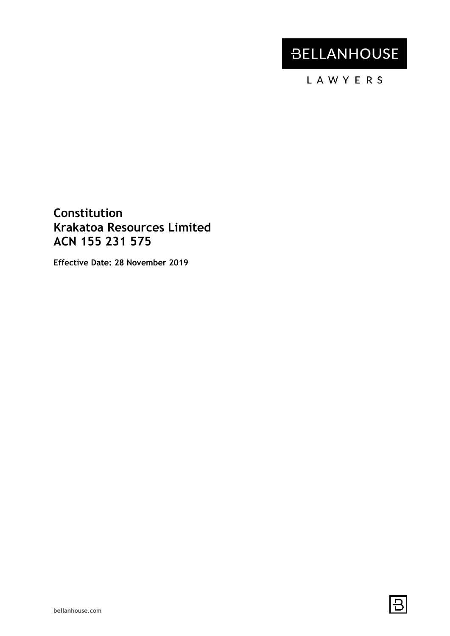# **BELLANHOUSE**

LAWYERS

# **Constitution Krakatoa Resources Limited ACN 155 231 575**

**Effective Date: 28 November 2019**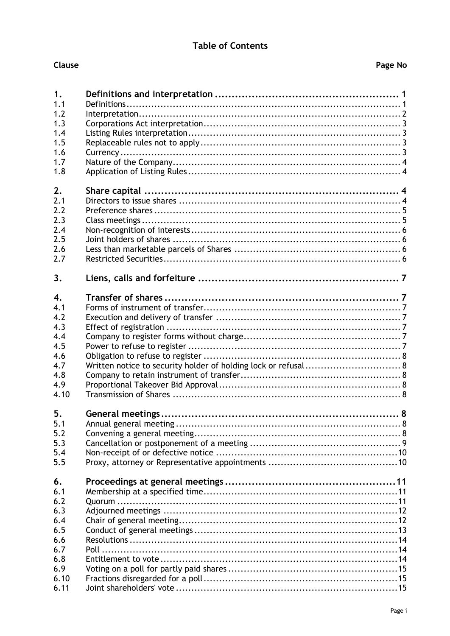# **Table of Contents**

| ш |  |
|---|--|
|   |  |
|   |  |

| 1.               |                                                                |
|------------------|----------------------------------------------------------------|
| 1.1              |                                                                |
| 1.2              |                                                                |
| 1.3              |                                                                |
| 1.4              |                                                                |
| 1.5              |                                                                |
| 1.6              |                                                                |
| 1.7              |                                                                |
| 1.8              |                                                                |
| 2.               |                                                                |
| 2.1              |                                                                |
| 2.2              |                                                                |
| 2.3              |                                                                |
| 2.4              |                                                                |
| 2.5              |                                                                |
| 2.6              |                                                                |
| 2.7              |                                                                |
| 3.               |                                                                |
| $\overline{4}$ . |                                                                |
| 4.1              |                                                                |
| 4.2              |                                                                |
| 4.3              |                                                                |
| 4.4              |                                                                |
| 4.5              |                                                                |
| 4.6              |                                                                |
| 4.7              | Written notice to security holder of holding lock or refusal 8 |
| 4.8              |                                                                |
| 4.9              |                                                                |
| 4.10             |                                                                |
| 5.               |                                                                |
| 5.1              |                                                                |
| 5.2              |                                                                |
| 5.3              |                                                                |
| 5.4              |                                                                |
| 5.5              |                                                                |
| 6.               |                                                                |
| 6.1              |                                                                |
| 6.2              |                                                                |
| 6.3              |                                                                |
| 6.4              |                                                                |
| 6.5              |                                                                |
| 6.6              |                                                                |
| 6.7              |                                                                |
| 6.8              |                                                                |
| 6.9              |                                                                |
| 6.10             |                                                                |
| 6.11             |                                                                |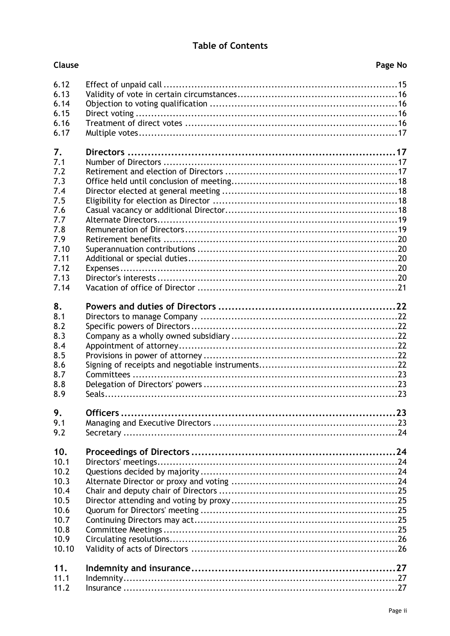# **Table of Contents**

Clause

| D<br><b>Page</b> | No |  |
|------------------|----|--|
|                  |    |  |

| 6.12<br>6.13<br>6.14<br>6.15<br>6.16<br>6.17                                                              |  |
|-----------------------------------------------------------------------------------------------------------|--|
| 7.<br>7.1<br>7.2<br>7.3<br>7.4<br>7.5<br>7.6<br>7.7<br>7.8<br>7.9<br>7.10<br>7.11<br>7.12<br>7.13<br>7.14 |  |
| 8.<br>8.1<br>8.2<br>8.3<br>8.4<br>8.5<br>8.6<br>8.7<br>8.8<br>8.9                                         |  |
| 9.<br>9.1<br>9.2                                                                                          |  |
| 10.<br>10.1<br>10.2<br>10.3<br>10.4<br>10.5<br>10.6<br>10.7<br>10.8<br>10.9<br>10.10                      |  |
| 11.<br>11.1<br>11.2                                                                                       |  |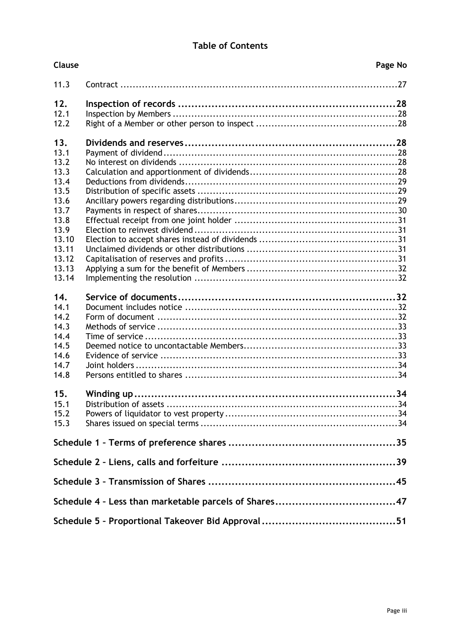# **Table of Contents**

| Clause       | Page No |
|--------------|---------|
| 11.3         |         |
| 12.          |         |
| 12.1         |         |
| 12.2         |         |
|              |         |
| 13.          |         |
| 13.1         |         |
| 13.2         |         |
| 13.3         |         |
| 13.4         |         |
| 13.5         |         |
| 13.6<br>13.7 |         |
| 13.8         |         |
| 13.9         |         |
| 13.10        |         |
| 13.11        |         |
| 13.12        |         |
| 13.13        |         |
| 13.14        |         |
|              |         |
| 14.          |         |
| 14.1         |         |
| 14.2         |         |
| 14.3         |         |
| 14.4         |         |
| 14.5         |         |
| 14.6         |         |
| 14.7         |         |
| 14.8         |         |
|              |         |
| 15.          |         |
| 15.1         |         |
| 15.2         |         |
| 15.3         |         |
|              |         |
|              |         |
|              |         |
|              |         |
|              |         |
|              |         |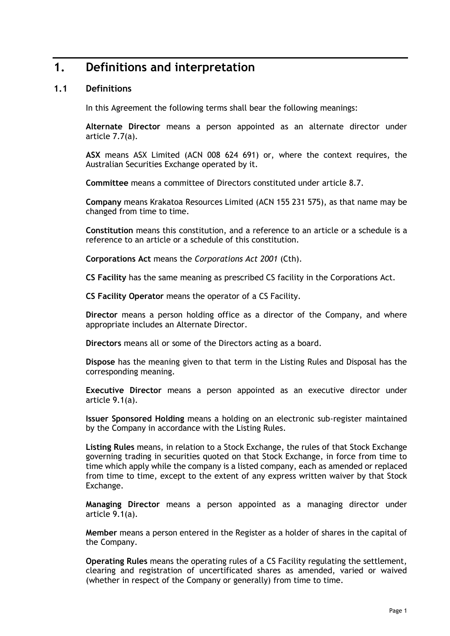# <span id="page-4-0"></span>**1. Definitions and interpretation**

# <span id="page-4-1"></span>**1.1 Definitions**

In this Agreement the following terms shall bear the following meanings:

**Alternate Director** means a person appointed as an alternate director under article [7.7\(a\).](#page-22-2)

**ASX** means ASX Limited (ACN 008 624 691) or, where the context requires, the Australian Securities Exchange operated by it.

**Committee** means a committee of Directors constituted under article [8.7.](#page-26-0)

**Company** means Krakatoa Resources Limited (ACN 155 231 575), as that name may be changed from time to time.

**Constitution** means this constitution, and a reference to an article or a schedule is a reference to an article or a schedule of this constitution.

**Corporations Act** means the *Corporations Act 2001* (Cth).

**CS Facility** has the same meaning as prescribed CS facility in the Corporations Act.

**CS Facility Operator** means the operator of a CS Facility.

**Director** means a person holding office as a director of the Company, and where appropriate includes an Alternate Director.

**Directors** means all or some of the Directors acting as a board.

**Dispose** has the meaning given to that term in the Listing Rules and Disposal has the corresponding meaning.

**Executive Director** means a person appointed as an executive director under article [9.1\(a\).](#page-26-5)

**Issuer Sponsored Holding** means a holding on an electronic sub-register maintained by the Company in accordance with the Listing Rules.

**Listing Rules** means, in relation to a Stock Exchange, the rules of that Stock Exchange governing trading in securities quoted on that Stock Exchange, in force from time to time which apply while the company is a listed company, each as amended or replaced from time to time, except to the extent of any express written waiver by that Stock Exchange.

**Managing Director** means a person appointed as a managing director under article [9.1\(a\).](#page-26-5)

**Member** means a person entered in the Register as a holder of shares in the capital of the Company.

**Operating Rules** means the operating rules of a CS Facility regulating the settlement, clearing and registration of uncertificated shares as amended, varied or waived (whether in respect of the Company or generally) from time to time.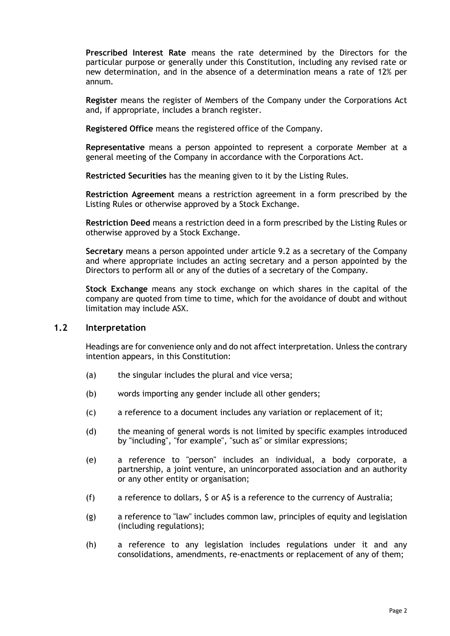**Prescribed Interest Rate** means the rate determined by the Directors for the particular purpose or generally under this Constitution, including any revised rate or new determination, and in the absence of a determination means a rate of 12% per annum*.*

**Register** means the register of Members of the Company under the Corporations Act and, if appropriate, includes a branch register.

**Registered Office** means the registered office of the Company.

**Representative** means a person appointed to represent a corporate Member at a general meeting of the Company in accordance with the Corporations Act.

**Restricted Securities** has the meaning given to it by the Listing Rules.

**Restriction Agreement** means a restriction agreement in a form prescribed by the Listing Rules or otherwise approved by a Stock Exchange.

**Restriction Deed** means a restriction deed in a form prescribed by the Listing Rules or otherwise approved by a Stock Exchange.

**Secretary** means a person appointed under article [9.2](#page-27-0) as a secretary of the Company and where appropriate includes an acting secretary and a person appointed by the Directors to perform all or any of the duties of a secretary of the Company.

**Stock Exchange** means any stock exchange on which shares in the capital of the company are quoted from time to time, which for the avoidance of doubt and without limitation may include ASX.

# <span id="page-5-0"></span>**1.2 Interpretation**

Headings are for convenience only and do not affect interpretation. Unless the contrary intention appears, in this Constitution:

- (a) the singular includes the plural and vice versa;
- (b) words importing any gender include all other genders;
- (c) a reference to a document includes any variation or replacement of it;
- (d) the meaning of general words is not limited by specific examples introduced by "including", "for example", "such as" or similar expressions;
- (e) a reference to "person" includes an individual, a body corporate, a partnership, a joint venture, an unincorporated association and an authority or any other entity or organisation;
- (f) a reference to dollars, \$ or A\$ is a reference to the currency of Australia;
- (g) a reference to "law" includes common law, principles of equity and legislation (including regulations);
- (h) a reference to any legislation includes regulations under it and any consolidations, amendments, re-enactments or replacement of any of them;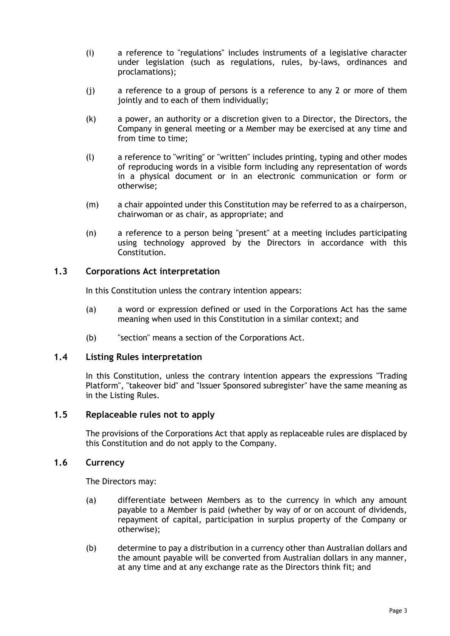- (i) a reference to "regulations" includes instruments of a legislative character under legislation (such as regulations, rules, by-laws, ordinances and proclamations);
- (j) a reference to a group of persons is a reference to any 2 or more of them jointly and to each of them individually;
- (k) a power, an authority or a discretion given to a Director, the Directors, the Company in general meeting or a Member may be exercised at any time and from time to time;
- (l) a reference to "writing" or "written" includes printing, typing and other modes of reproducing words in a visible form including any representation of words in a physical document or in an electronic communication or form or otherwise;
- (m) a chair appointed under this Constitution may be referred to as a chairperson, chairwoman or as chair, as appropriate; and
- (n) a reference to a person being "present" at a meeting includes participating using technology approved by the Directors in accordance with this Constitution.

# <span id="page-6-0"></span>**1.3 Corporations Act interpretation**

In this Constitution unless the contrary intention appears:

- (a) a word or expression defined or used in the Corporations Act has the same meaning when used in this Constitution in a similar context; and
- (b) "section" means a section of the Corporations Act.

#### <span id="page-6-1"></span>**1.4 Listing Rules interpretation**

In this Constitution, unless the contrary intention appears the expressions "Trading Platform", "takeover bid" and "Issuer Sponsored subregister" have the same meaning as in the Listing Rules.

# <span id="page-6-2"></span>**1.5 Replaceable rules not to apply**

The provisions of the Corporations Act that apply as replaceable rules are displaced by this Constitution and do not apply to the Company.

### <span id="page-6-3"></span>**1.6 Currency**

The Directors may:

- (a) differentiate between Members as to the currency in which any amount payable to a Member is paid (whether by way of or on account of dividends, repayment of capital, participation in surplus property of the Company or otherwise);
- (b) determine to pay a distribution in a currency other than Australian dollars and the amount payable will be converted from Australian dollars in any manner, at any time and at any exchange rate as the Directors think fit; and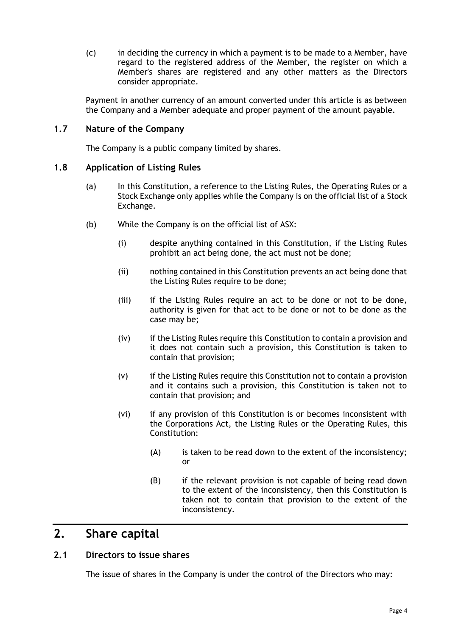(c) in deciding the currency in which a payment is to be made to a Member, have regard to the registered address of the Member, the register on which a Member's shares are registered and any other matters as the Directors consider appropriate.

Payment in another currency of an amount converted under this article is as between the Company and a Member adequate and proper payment of the amount payable.

# <span id="page-7-0"></span>**1.7 Nature of the Company**

The Company is a public company limited by shares.

#### <span id="page-7-1"></span>**1.8 Application of Listing Rules**

- (a) In this Constitution, a reference to the Listing Rules, the Operating Rules or a Stock Exchange only applies while the Company is on the official list of a Stock Exchange.
- (b) While the Company is on the official list of ASX:
	- (i) despite anything contained in this Constitution, if the Listing Rules prohibit an act being done, the act must not be done;
	- (ii) nothing contained in this Constitution prevents an act being done that the Listing Rules require to be done;
	- (iii) if the Listing Rules require an act to be done or not to be done, authority is given for that act to be done or not to be done as the case may be;
	- (iv) if the Listing Rules require this Constitution to contain a provision and it does not contain such a provision, this Constitution is taken to contain that provision;
	- (v) if the Listing Rules require this Constitution not to contain a provision and it contains such a provision, this Constitution is taken not to contain that provision; and
	- (vi) if any provision of this Constitution is or becomes inconsistent with the Corporations Act, the Listing Rules or the Operating Rules, this Constitution:
		- (A) is taken to be read down to the extent of the inconsistency; or
		- (B) if the relevant provision is not capable of being read down to the extent of the inconsistency, then this Constitution is taken not to contain that provision to the extent of the inconsistency.

# <span id="page-7-2"></span>**2. Share capital**

# <span id="page-7-3"></span>**2.1 Directors to issue shares**

The issue of shares in the Company is under the control of the Directors who may: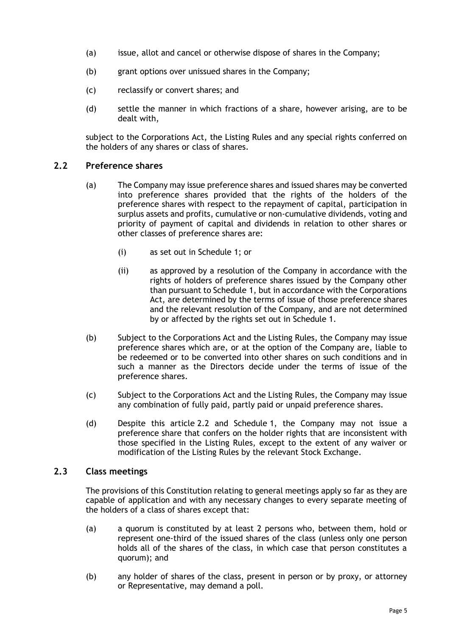- (a) issue, allot and cancel or otherwise dispose of shares in the Company;
- (b) grant options over unissued shares in the Company;
- (c) reclassify or convert shares; and
- (d) settle the manner in which fractions of a share, however arising, are to be dealt with,

subject to the Corporations Act, the Listing Rules and any special rights conferred on the holders of any shares or class of shares.

# <span id="page-8-0"></span>**2.2 Preference shares**

- (a) The Company may issue preference shares and issued shares may be converted into preference shares provided that the rights of the holders of the preference shares with respect to the repayment of capital, participation in surplus assets and profits, cumulative or non-cumulative dividends, voting and priority of payment of capital and dividends in relation to other shares or other classes of preference shares are:
	- (i) as set out in [Schedule](#page-38-0) 1; or
	- (ii) as approved by a resolution of the Company in accordance with the rights of holders of preference shares issued by the Company other than pursuant to [Schedule](#page-38-0) 1, but in accordance with the Corporations Act, are determined by the terms of issue of those preference shares and the relevant resolution of the Company, and are not determined by or affected by the rights set out in [Schedule](#page-38-0) 1.
- (b) Subject to the Corporations Act and the Listing Rules, the Company may issue preference shares which are, or at the option of the Company are, liable to be redeemed or to be converted into other shares on such conditions and in such a manner as the Directors decide under the terms of issue of the preference shares.
- (c) Subject to the Corporations Act and the Listing Rules, the Company may issue any combination of fully paid, partly paid or unpaid preference shares.
- (d) Despite this article [2.2](#page-8-0) and [Schedule](#page-38-0) 1, the Company may not issue a preference share that confers on the holder rights that are inconsistent with those specified in the Listing Rules, except to the extent of any waiver or modification of the Listing Rules by the relevant Stock Exchange.

#### <span id="page-8-1"></span>**2.3 Class meetings**

The provisions of this Constitution relating to general meetings apply so far as they are capable of application and with any necessary changes to every separate meeting of the holders of a class of shares except that:

- (a) a quorum is constituted by at least 2 persons who, between them, hold or represent one-third of the issued shares of the class (unless only one person holds all of the shares of the class, in which case that person constitutes a quorum); and
- (b) any holder of shares of the class, present in person or by proxy, or attorney or Representative, may demand a poll.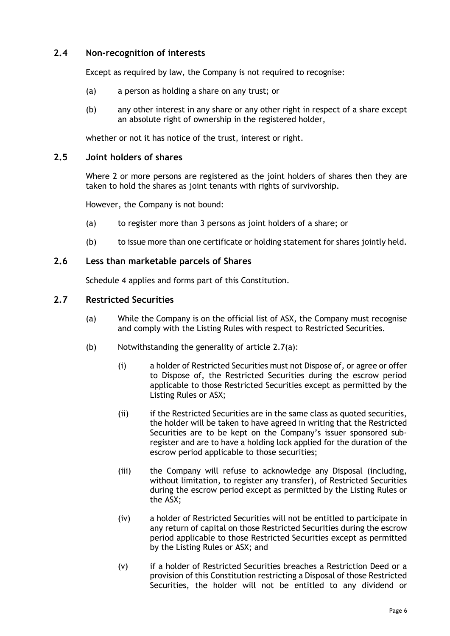# <span id="page-9-0"></span>**2.4 Non-recognition of interests**

Except as required by law, the Company is not required to recognise:

- (a) a person as holding a share on any trust; or
- (b) any other interest in any share or any other right in respect of a share except an absolute right of ownership in the registered holder,

whether or not it has notice of the trust, interest or right.

# <span id="page-9-1"></span>**2.5 Joint holders of shares**

Where 2 or more persons are registered as the joint holders of shares then they are taken to hold the shares as joint tenants with rights of survivorship.

However, the Company is not bound:

- (a) to register more than 3 persons as joint holders of a share; or
- (b) to issue more than one certificate or holding statement for shares jointly held.

# <span id="page-9-2"></span>**2.6 Less than marketable parcels of Shares**

[Schedule](#page-50-0) 4 applies and forms part of this Constitution.

# <span id="page-9-4"></span><span id="page-9-3"></span>**2.7 Restricted Securities**

- (a) While the Company is on the official list of ASX, the Company must recognise and comply with the Listing Rules with respect to Restricted Securities.
- (b) Notwithstanding the generality of article [2.7\(a\):](#page-9-4)
	- (i) a holder of Restricted Securities must not Dispose of, or agree or offer to Dispose of, the Restricted Securities during the escrow period applicable to those Restricted Securities except as permitted by the Listing Rules or ASX;
	- (ii) if the Restricted Securities are in the same class as quoted securities, the holder will be taken to have agreed in writing that the Restricted Securities are to be kept on the Company's issuer sponsored subregister and are to have a holding lock applied for the duration of the escrow period applicable to those securities;
	- (iii) the Company will refuse to acknowledge any Disposal (including, without limitation, to register any transfer), of Restricted Securities during the escrow period except as permitted by the Listing Rules or the ASX;
	- (iv) a holder of Restricted Securities will not be entitled to participate in any return of capital on those Restricted Securities during the escrow period applicable to those Restricted Securities except as permitted by the Listing Rules or ASX; and
	- (v) if a holder of Restricted Securities breaches a Restriction Deed or a provision of this Constitution restricting a Disposal of those Restricted Securities, the holder will not be entitled to any dividend or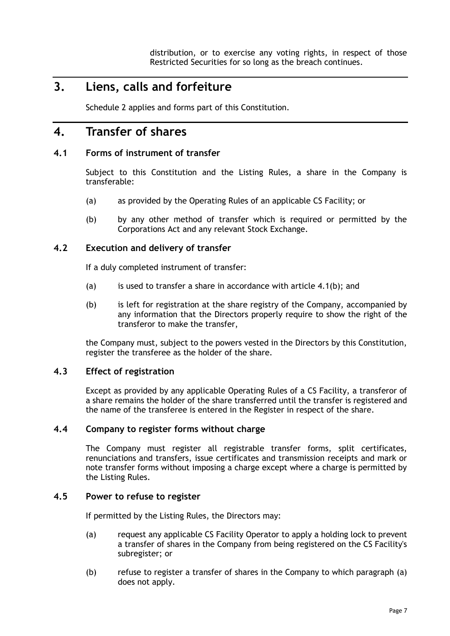distribution, or to exercise any voting rights, in respect of those Restricted Securities for so long as the breach continues.

# <span id="page-10-0"></span>**3. Liens, calls and forfeiture**

[Schedule](#page-42-0) 2 applies and forms part of this Constitution.

# <span id="page-10-1"></span>**4. Transfer of shares**

# <span id="page-10-2"></span>**4.1 Forms of instrument of transfer**

Subject to this Constitution and the Listing Rules, a share in the Company is transferable:

- (a) as provided by the Operating Rules of an applicable CS Facility; or
- <span id="page-10-7"></span>(b) by any other method of transfer which is required or permitted by the Corporations Act and any relevant Stock Exchange.

# <span id="page-10-3"></span>**4.2 Execution and delivery of transfer**

If a duly completed instrument of transfer:

- (a) is used to transfer a share in accordance with article  $4.1(b)$ ; and
- (b) is left for registration at the share registry of the Company, accompanied by any information that the Directors properly require to show the right of the transferor to make the transfer,

the Company must, subject to the powers vested in the Directors by this Constitution, register the transferee as the holder of the share.

#### <span id="page-10-4"></span>**4.3 Effect of registration**

Except as provided by any applicable Operating Rules of a CS Facility, a transferor of a share remains the holder of the share transferred until the transfer is registered and the name of the transferee is entered in the Register in respect of the share.

#### <span id="page-10-5"></span>**4.4 Company to register forms without charge**

The Company must register all registrable transfer forms, split certificates, renunciations and transfers, issue certificates and transmission receipts and mark or note transfer forms without imposing a charge except where a charge is permitted by the Listing Rules.

#### <span id="page-10-8"></span><span id="page-10-6"></span>**4.5 Power to refuse to register**

If permitted by the Listing Rules, the Directors may:

- (a) request any applicable CS Facility Operator to apply a holding lock to prevent a transfer of shares in the Company from being registered on the CS Facility's subregister; or
- (b) refuse to register a transfer of shares in the Company to which paragraph [\(a\)](#page-10-8) does not apply.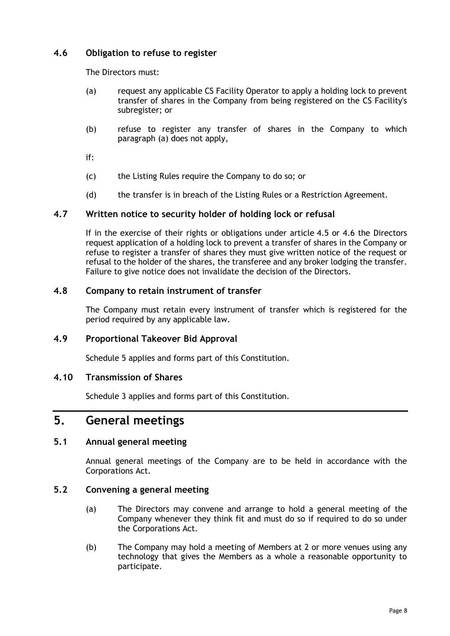# <span id="page-11-8"></span><span id="page-11-0"></span>**4.6 Obligation to refuse to register**

The Directors must:

- (a) request any applicable CS Facility Operator to apply a holding lock to prevent transfer of shares in the Company from being registered on the CS Facility's subregister; or
- (b) refuse to register any transfer of shares in the Company to which paragraph [\(a\)](#page-11-8) does not apply,

if:

- (c) the Listing Rules require the Company to do so; or
- (d) the transfer is in breach of the Listing Rules or a Restriction Agreement.

# <span id="page-11-1"></span>**4.7 Written notice to security holder of holding lock or refusal**

If in the exercise of their rights or obligations under article [4.5](#page-10-6) or [4.6](#page-11-0) the Directors request application of a holding lock to prevent a transfer of shares in the Company or refuse to register a transfer of shares they must give written notice of the request or refusal to the holder of the shares, the transferee and any broker lodging the transfer. Failure to give notice does not invalidate the decision of the Directors.

# <span id="page-11-2"></span>**4.8 Company to retain instrument of transfer**

The Company must retain every instrument of transfer which is registered for the period required by any applicable law.

# <span id="page-11-3"></span>**4.9 Proportional Takeover Bid Approval**

[Schedule](#page-54-0) 5 applies and forms part of this Constitution.

# <span id="page-11-4"></span>**4.10 Transmission of Shares**

[Schedule](#page-48-0) 3 applies and forms part of this Constitution.

# <span id="page-11-5"></span>**5. General meetings**

# <span id="page-11-6"></span>**5.1 Annual general meeting**

Annual general meetings of the Company are to be held in accordance with the Corporations Act.

# <span id="page-11-7"></span>**5.2 Convening a general meeting**

- (a) The Directors may convene and arrange to hold a general meeting of the Company whenever they think fit and must do so if required to do so under the Corporations Act.
- (b) The Company may hold a meeting of Members at 2 or more venues using any technology that gives the Members as a whole a reasonable opportunity to participate.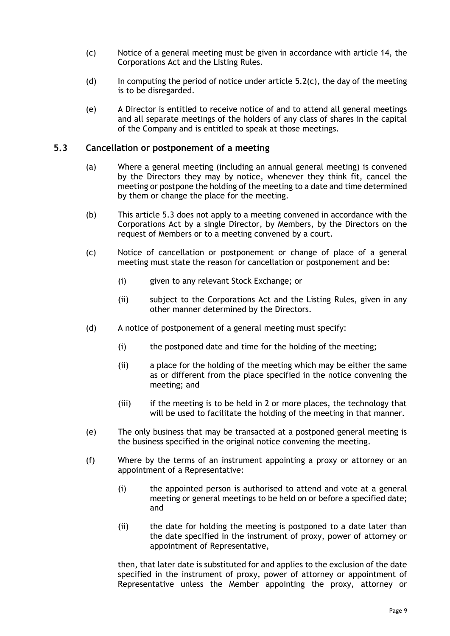- <span id="page-12-1"></span>(c) Notice of a general meeting must be given in accordance with article [14,](#page-35-2) the Corporations Act and the Listing Rules.
- (d) In computing the period of notice under article  $5.2(c)$ , the day of the meeting is to be disregarded.
- (e) A Director is entitled to receive notice of and to attend all general meetings and all separate meetings of the holders of any class of shares in the capital of the Company and is entitled to speak at those meetings.

#### <span id="page-12-0"></span>**5.3 Cancellation or postponement of a meeting**

- (a) Where a general meeting (including an annual general meeting) is convened by the Directors they may by notice, whenever they think fit, cancel the meeting or postpone the holding of the meeting to a date and time determined by them or change the place for the meeting.
- (b) This article [5.3](#page-12-0) does not apply to a meeting convened in accordance with the Corporations Act by a single Director, by Members, by the Directors on the request of Members or to a meeting convened by a court.
- (c) Notice of cancellation or postponement or change of place of a general meeting must state the reason for cancellation or postponement and be:
	- (i) given to any relevant Stock Exchange; or
	- (ii) subject to the Corporations Act and the Listing Rules, given in any other manner determined by the Directors.
- (d) A notice of postponement of a general meeting must specify:
	- (i) the postponed date and time for the holding of the meeting;
	- (ii) a place for the holding of the meeting which may be either the same as or different from the place specified in the notice convening the meeting; and
	- (iii) if the meeting is to be held in 2 or more places, the technology that will be used to facilitate the holding of the meeting in that manner.
- (e) The only business that may be transacted at a postponed general meeting is the business specified in the original notice convening the meeting.
- (f) Where by the terms of an instrument appointing a proxy or attorney or an appointment of a Representative:
	- (i) the appointed person is authorised to attend and vote at a general meeting or general meetings to be held on or before a specified date; and
	- (ii) the date for holding the meeting is postponed to a date later than the date specified in the instrument of proxy, power of attorney or appointment of Representative,

then, that later date is substituted for and applies to the exclusion of the date specified in the instrument of proxy, power of attorney or appointment of Representative unless the Member appointing the proxy, attorney or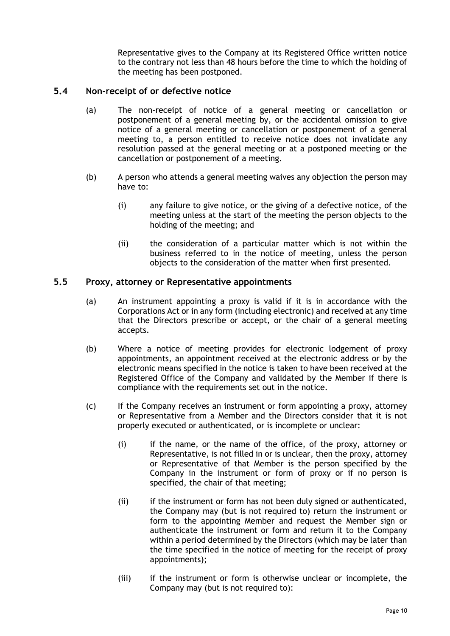Representative gives to the Company at its Registered Office written notice to the contrary not less than 48 hours before the time to which the holding of the meeting has been postponed.

# <span id="page-13-0"></span>**5.4 Non-receipt of or defective notice**

- (a) The non-receipt of notice of a general meeting or cancellation or postponement of a general meeting by, or the accidental omission to give notice of a general meeting or cancellation or postponement of a general meeting to, a person entitled to receive notice does not invalidate any resolution passed at the general meeting or at a postponed meeting or the cancellation or postponement of a meeting.
- (b) A person who attends a general meeting waives any objection the person may have to:
	- (i) any failure to give notice, or the giving of a defective notice, of the meeting unless at the start of the meeting the person objects to the holding of the meeting; and
	- (ii) the consideration of a particular matter which is not within the business referred to in the notice of meeting, unless the person objects to the consideration of the matter when first presented.

# <span id="page-13-1"></span>**5.5 Proxy, attorney or Representative appointments**

- (a) An instrument appointing a proxy is valid if it is in accordance with the Corporations Act or in any form (including electronic) and received at any time that the Directors prescribe or accept, or the chair of a general meeting accepts.
- (b) Where a notice of meeting provides for electronic lodgement of proxy appointments, an appointment received at the electronic address or by the electronic means specified in the notice is taken to have been received at the Registered Office of the Company and validated by the Member if there is compliance with the requirements set out in the notice.
- (c) If the Company receives an instrument or form appointing a proxy, attorney or Representative from a Member and the Directors consider that it is not properly executed or authenticated, or is incomplete or unclear:
	- (i) if the name, or the name of the office, of the proxy, attorney or Representative, is not filled in or is unclear, then the proxy, attorney or Representative of that Member is the person specified by the Company in the instrument or form of proxy or if no person is specified, the chair of that meeting;
	- (ii) if the instrument or form has not been duly signed or authenticated, the Company may (but is not required to) return the instrument or form to the appointing Member and request the Member sign or authenticate the instrument or form and return it to the Company within a period determined by the Directors (which may be later than the time specified in the notice of meeting for the receipt of proxy appointments);
	- (iii) if the instrument or form is otherwise unclear or incomplete, the Company may (but is not required to):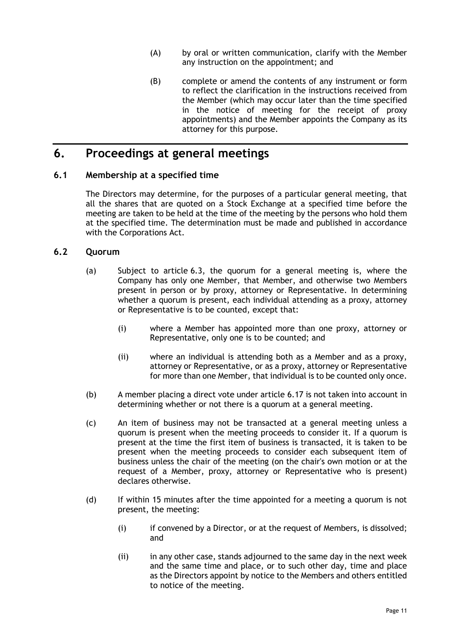- (A) by oral or written communication, clarify with the Member any instruction on the appointment; and
- (B) complete or amend the contents of any instrument or form to reflect the clarification in the instructions received from the Member (which may occur later than the time specified in the notice of meeting for the receipt of proxy appointments) and the Member appoints the Company as its attorney for this purpose.

# <span id="page-14-0"></span>**6. Proceedings at general meetings**

# <span id="page-14-1"></span>**6.1 Membership at a specified time**

The Directors may determine, for the purposes of a particular general meeting, that all the shares that are quoted on a Stock Exchange at a specified time before the meeting are taken to be held at the time of the meeting by the persons who hold them at the specified time. The determination must be made and published in accordance with the Corporations Act.

# <span id="page-14-2"></span>**6.2 Quorum**

- (a) Subject to article [6.3,](#page-15-0) the quorum for a general meeting is, where the Company has only one Member, that Member, and otherwise two Members present in person or by proxy, attorney or Representative. In determining whether a quorum is present, each individual attending as a proxy, attorney or Representative is to be counted, except that:
	- (i) where a Member has appointed more than one proxy, attorney or Representative, only one is to be counted; and
	- (ii) where an individual is attending both as a Member and as a proxy, attorney or Representative, or as a proxy, attorney or Representative for more than one Member, that individual is to be counted only once.
- (b) A member placing a direct vote under article [6.17](#page-20-0) is not taken into account in determining whether or not there is a quorum at a general meeting.
- (c) An item of business may not be transacted at a general meeting unless a quorum is present when the meeting proceeds to consider it. If a quorum is present at the time the first item of business is transacted, it is taken to be present when the meeting proceeds to consider each subsequent item of business unless the chair of the meeting (on the chair's own motion or at the request of a Member, proxy, attorney or Representative who is present) declares otherwise.
- <span id="page-14-3"></span>(d) If within 15 minutes after the time appointed for a meeting a quorum is not present, the meeting:
	- (i) if convened by a Director, or at the request of Members, is dissolved; and
	- (ii) in any other case, stands adjourned to the same day in the next week and the same time and place, or to such other day, time and place as the Directors appoint by notice to the Members and others entitled to notice of the meeting.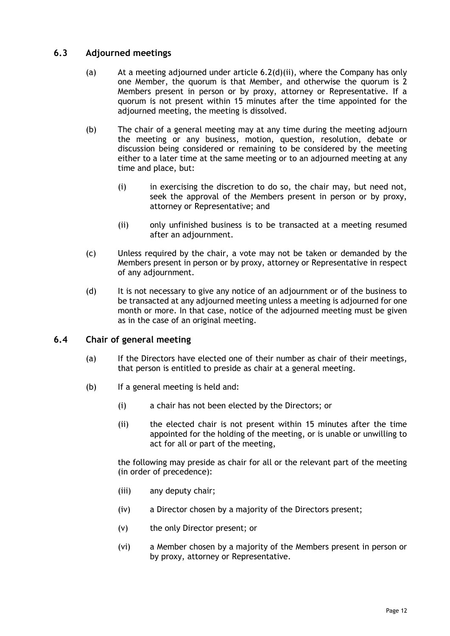# <span id="page-15-0"></span>**6.3 Adjourned meetings**

- (a) At a meeting adjourned under article  $6.2(d)(ii)$ , where the Company has only one Member, the quorum is that Member, and otherwise the quorum is 2 Members present in person or by proxy, attorney or Representative. If a quorum is not present within 15 minutes after the time appointed for the adjourned meeting, the meeting is dissolved.
- (b) The chair of a general meeting may at any time during the meeting adjourn the meeting or any business, motion, question, resolution, debate or discussion being considered or remaining to be considered by the meeting either to a later time at the same meeting or to an adjourned meeting at any time and place, but:
	- (i) in exercising the discretion to do so, the chair may, but need not, seek the approval of the Members present in person or by proxy, attorney or Representative; and
	- (ii) only unfinished business is to be transacted at a meeting resumed after an adjournment.
- (c) Unless required by the chair, a vote may not be taken or demanded by the Members present in person or by proxy, attorney or Representative in respect of any adjournment.
- (d) It is not necessary to give any notice of an adjournment or of the business to be transacted at any adjourned meeting unless a meeting is adjourned for one month or more. In that case, notice of the adjourned meeting must be given as in the case of an original meeting.

# <span id="page-15-1"></span>**6.4 Chair of general meeting**

- (a) If the Directors have elected one of their number as chair of their meetings, that person is entitled to preside as chair at a general meeting.
- (b) If a general meeting is held and:
	- (i) a chair has not been elected by the Directors; or
	- (ii) the elected chair is not present within 15 minutes after the time appointed for the holding of the meeting, or is unable or unwilling to act for all or part of the meeting,

the following may preside as chair for all or the relevant part of the meeting (in order of precedence):

- (iii) any deputy chair;
- (iv) a Director chosen by a majority of the Directors present;
- (v) the only Director present; or
- (vi) a Member chosen by a majority of the Members present in person or by proxy, attorney or Representative.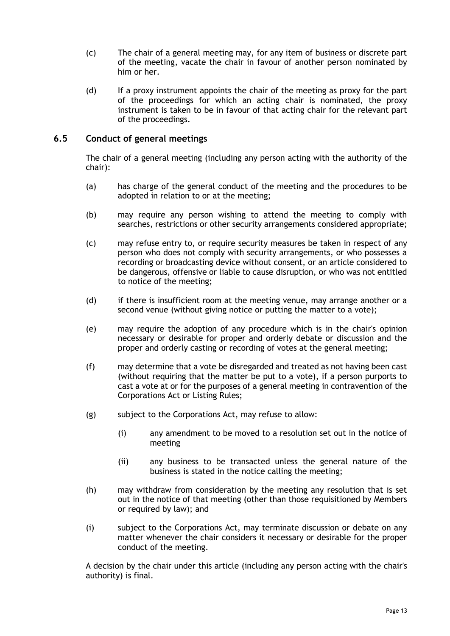- (c) The chair of a general meeting may, for any item of business or discrete part of the meeting, vacate the chair in favour of another person nominated by him or her.
- (d) If a proxy instrument appoints the chair of the meeting as proxy for the part of the proceedings for which an acting chair is nominated, the proxy instrument is taken to be in favour of that acting chair for the relevant part of the proceedings.

# <span id="page-16-0"></span>**6.5 Conduct of general meetings**

The chair of a general meeting (including any person acting with the authority of the chair):

- (a) has charge of the general conduct of the meeting and the procedures to be adopted in relation to or at the meeting;
- (b) may require any person wishing to attend the meeting to comply with searches, restrictions or other security arrangements considered appropriate;
- (c) may refuse entry to, or require security measures be taken in respect of any person who does not comply with security arrangements, or who possesses a recording or broadcasting device without consent, or an article considered to be dangerous, offensive or liable to cause disruption, or who was not entitled to notice of the meeting;
- (d) if there is insufficient room at the meeting venue, may arrange another or a second venue (without giving notice or putting the matter to a vote);
- (e) may require the adoption of any procedure which is in the chair's opinion necessary or desirable for proper and orderly debate or discussion and the proper and orderly casting or recording of votes at the general meeting;
- (f) may determine that a vote be disregarded and treated as not having been cast (without requiring that the matter be put to a vote), if a person purports to cast a vote at or for the purposes of a general meeting in contravention of the Corporations Act or Listing Rules;
- (g) subject to the Corporations Act, may refuse to allow:
	- (i) any amendment to be moved to a resolution set out in the notice of meeting
	- (ii) any business to be transacted unless the general nature of the business is stated in the notice calling the meeting;
- (h) may withdraw from consideration by the meeting any resolution that is set out in the notice of that meeting (other than those requisitioned by Members or required by law); and
- (i) subject to the Corporations Act, may terminate discussion or debate on any matter whenever the chair considers it necessary or desirable for the proper conduct of the meeting.

A decision by the chair under this article (including any person acting with the chair's authority) is final.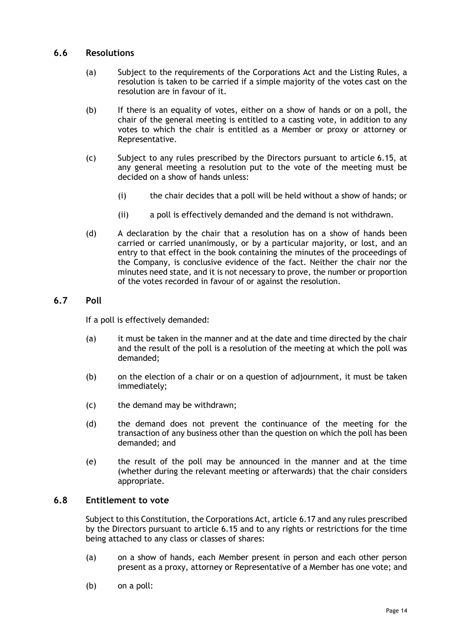# <span id="page-17-0"></span>**6.6 Resolutions**

- (a) Subject to the requirements of the Corporations Act and the Listing Rules, a resolution is taken to be carried if a simple majority of the votes cast on the resolution are in favour of it.
- (b) If there is an equality of votes, either on a show of hands or on a poll, the chair of the general meeting is entitled to a casting vote, in addition to any votes to which the chair is entitled as a Member or proxy or attorney or Representative.
- (c) Subject to any rules prescribed by the Directors pursuant to article [6.15,](#page-19-2) at any general meeting a resolution put to the vote of the meeting must be decided on a show of hands unless:
	- (i) the chair decides that a poll will be held without a show of hands; or
	- (ii) a poll is effectively demanded and the demand is not withdrawn.
- (d) A declaration by the chair that a resolution has on a show of hands been carried or carried unanimously, or by a particular majority, or lost, and an entry to that effect in the book containing the minutes of the proceedings of the Company, is conclusive evidence of the fact. Neither the chair nor the minutes need state, and it is not necessary to prove, the number or proportion of the votes recorded in favour of or against the resolution.

# <span id="page-17-1"></span>**6.7 Poll**

If a poll is effectively demanded:

- (a) it must be taken in the manner and at the date and time directed by the chair and the result of the poll is a resolution of the meeting at which the poll was demanded;
- (b) on the election of a chair or on a question of adjournment, it must be taken immediately;
- (c) the demand may be withdrawn;
- (d) the demand does not prevent the continuance of the meeting for the transaction of any business other than the question on which the poll has been demanded; and
- (e) the result of the poll may be announced in the manner and at the time (whether during the relevant meeting or afterwards) that the chair considers appropriate.

#### <span id="page-17-2"></span>**6.8 Entitlement to vote**

Subject to this Constitution, the Corporations Act, article [6.17](#page-20-0) and any rules prescribed by the Directors pursuant to article [6.15](#page-19-2) and to any rights or restrictions for the time being attached to any class or classes of shares:

- (a) on a show of hands, each Member present in person and each other person present as a proxy, attorney or Representative of a Member has one vote; and
- (b) on a poll: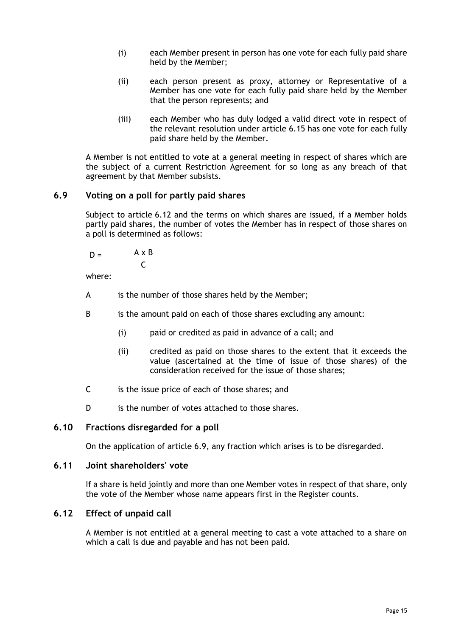- (i) each Member present in person has one vote for each fully paid share held by the Member;
- (ii) each person present as proxy, attorney or Representative of a Member has one vote for each fully paid share held by the Member that the person represents; and
- (iii) each Member who has duly lodged a valid direct vote in respect of the relevant resolution under article [6.15](#page-19-2) has one vote for each fully paid share held by the Member.

A Member is not entitled to vote at a general meeting in respect of shares which are the subject of a current Restriction Agreement for so long as any breach of that agreement by that Member subsists.

# <span id="page-18-0"></span>**6.9 Voting on a poll for partly paid shares**

Subject to article [6.12](#page-18-3) and the terms on which shares are issued, if a Member holds partly paid shares, the number of votes the Member has in respect of those shares on a poll is determined as follows:

$$
D = \frac{A \times B}{C}
$$

where:

- A is the number of those shares held by the Member;
- B is the amount paid on each of those shares excluding any amount:
	- (i) paid or credited as paid in advance of a call; and
	- (ii) credited as paid on those shares to the extent that it exceeds the value (ascertained at the time of issue of those shares) of the consideration received for the issue of those shares;
- C is the issue price of each of those shares; and
- D is the number of votes attached to those shares.

# <span id="page-18-1"></span>**6.10 Fractions disregarded for a poll**

On the application of article [6.9,](#page-18-0) any fraction which arises is to be disregarded.

### <span id="page-18-2"></span>**6.11 Joint shareholders' vote**

If a share is held jointly and more than one Member votes in respect of that share, only the vote of the Member whose name appears first in the Register counts.

#### <span id="page-18-3"></span>**6.12 Effect of unpaid call**

A Member is not entitled at a general meeting to cast a vote attached to a share on which a call is due and payable and has not been paid.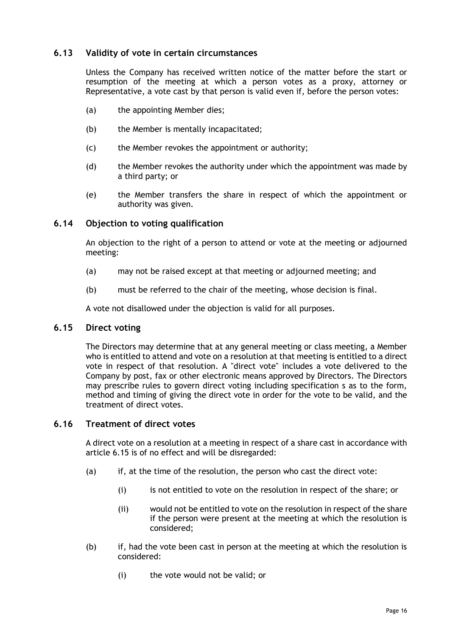# <span id="page-19-0"></span>**6.13 Validity of vote in certain circumstances**

Unless the Company has received written notice of the matter before the start or resumption of the meeting at which a person votes as a proxy, attorney or Representative, a vote cast by that person is valid even if, before the person votes:

- (a) the appointing Member dies;
- (b) the Member is mentally incapacitated;
- (c) the Member revokes the appointment or authority;
- (d) the Member revokes the authority under which the appointment was made by a third party; or
- (e) the Member transfers the share in respect of which the appointment or authority was given.

# <span id="page-19-1"></span>**6.14 Objection to voting qualification**

An objection to the right of a person to attend or vote at the meeting or adjourned meeting:

- (a) may not be raised except at that meeting or adjourned meeting; and
- (b) must be referred to the chair of the meeting, whose decision is final.

A vote not disallowed under the objection is valid for all purposes.

#### <span id="page-19-2"></span>**6.15 Direct voting**

The Directors may determine that at any general meeting or class meeting, a Member who is entitled to attend and vote on a resolution at that meeting is entitled to a direct vote in respect of that resolution. A "direct vote" includes a vote delivered to the Company by post, fax or other electronic means approved by Directors. The Directors may prescribe rules to govern direct voting including specification s as to the form, method and timing of giving the direct vote in order for the vote to be valid, and the treatment of direct votes.

#### <span id="page-19-3"></span>**6.16 Treatment of direct votes**

A direct vote on a resolution at a meeting in respect of a share cast in accordance with article [6.15](#page-19-2) is of no effect and will be disregarded:

- (a) if, at the time of the resolution, the person who cast the direct vote:
	- (i) is not entitled to vote on the resolution in respect of the share; or
	- (ii) would not be entitled to vote on the resolution in respect of the share if the person were present at the meeting at which the resolution is considered;
- (b) if, had the vote been cast in person at the meeting at which the resolution is considered:
	- (i) the vote would not be valid; or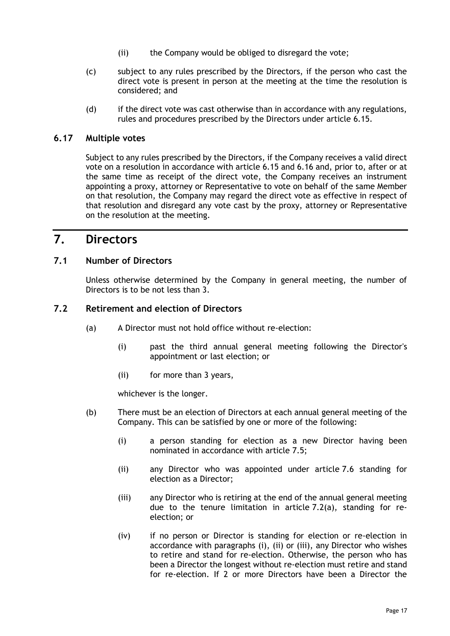- (ii) the Company would be obliged to disregard the vote;
- (c) subject to any rules prescribed by the Directors, if the person who cast the direct vote is present in person at the meeting at the time the resolution is considered; and
- (d) if the direct vote was cast otherwise than in accordance with any regulations, rules and procedures prescribed by the Directors under article [6.15.](#page-19-2)

# <span id="page-20-0"></span>**6.17 Multiple votes**

Subject to any rules prescribed by the Directors, if the Company receives a valid direct vote on a resolution in accordance with article [6.15](#page-19-2) and [6.16](#page-19-3) and, prior to, after or at the same time as receipt of the direct vote, the Company receives an instrument appointing a proxy, attorney or Representative to vote on behalf of the same Member on that resolution, the Company may regard the direct vote as effective in respect of that resolution and disregard any vote cast by the proxy, attorney or Representative on the resolution at the meeting.

# <span id="page-20-1"></span>**7. Directors**

# <span id="page-20-2"></span>**7.1 Number of Directors**

Unless otherwise determined by the Company in general meeting, the number of Directors is to be not less than 3.

# <span id="page-20-4"></span><span id="page-20-3"></span>**7.2 Retirement and election of Directors**

- (a) A Director must not hold office without re-election:
	- (i) past the third annual general meeting following the Director's appointment or last election; or
	- (ii) for more than 3 years,

whichever is the longer.

- <span id="page-20-7"></span><span id="page-20-6"></span><span id="page-20-5"></span>(b) There must be an election of Directors at each annual general meeting of the Company. This can be satisfied by one or more of the following:
	- (i) a person standing for election as a new Director having been nominated in accordance with article [7.5;](#page-21-2)
	- (ii) any Director who was appointed under article [7.6](#page-21-3) standing for election as a Director;
	- (iii) any Director who is retiring at the end of the annual general meeting due to the tenure limitation in article [7.2\(a\),](#page-20-4) standing for reelection; or
	- (iv) if no person or Director is standing for election or re-election in accordance with paragraphs [\(i\),](#page-20-5) [\(ii\)](#page-20-6) or [\(iii\),](#page-20-7) any Director who wishes to retire and stand for re-election. Otherwise, the person who has been a Director the longest without re-election must retire and stand for re-election. If 2 or more Directors have been a Director the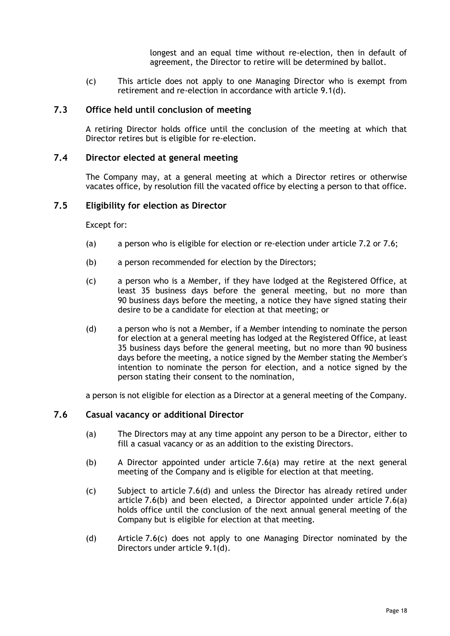longest and an equal time without re-election, then in default of agreement, the Director to retire will be determined by ballot.

(c) This article does not apply to one Managing Director who is exempt from retirement and re-election in accordance with article [9.1\(d\).](#page-27-5)

# <span id="page-21-0"></span>**7.3 Office held until conclusion of meeting**

A retiring Director holds office until the conclusion of the meeting at which that Director retires but is eligible for re-election.

#### <span id="page-21-1"></span>**7.4 Director elected at general meeting**

The Company may, at a general meeting at which a Director retires or otherwise vacates office, by resolution fill the vacated office by electing a person to that office.

#### <span id="page-21-2"></span>**7.5 Eligibility for election as Director**

Except for:

- (a) a person who is eligible for election or re-election under article [7.2](#page-20-3) or [7.6;](#page-21-3)
- (b) a person recommended for election by the Directors;
- (c) a person who is a Member, if they have lodged at the Registered Office, at least 35 business days before the general meeting, but no more than 90 business days before the meeting, a notice they have signed stating their desire to be a candidate for election at that meeting; or
- (d) a person who is not a Member, if a Member intending to nominate the person for election at a general meeting has lodged at the Registered Office, at least 35 business days before the general meeting, but no more than 90 business days before the meeting, a notice signed by the Member stating the Member's intention to nominate the person for election, and a notice signed by the person stating their consent to the nomination,

a person is not eligible for election as a Director at a general meeting of the Company.

#### <span id="page-21-4"></span><span id="page-21-3"></span>**7.6 Casual vacancy or additional Director**

- (a) The Directors may at any time appoint any person to be a Director, either to fill a casual vacancy or as an addition to the existing Directors.
- <span id="page-21-6"></span>(b) A Director appointed under article [7.6\(a\)](#page-21-4) may retire at the next general meeting of the Company and is eligible for election at that meeting.
- <span id="page-21-7"></span>(c) Subject to article [7.6\(d\)](#page-21-5) and unless the Director has already retired under article [7.6\(b\)](#page-21-6) and been elected, a Director appointed under article [7.6\(a\)](#page-21-4) holds office until the conclusion of the next annual general meeting of the Company but is eligible for election at that meeting.
- <span id="page-21-5"></span>(d) Article [7.6\(c\)](#page-21-7) does not apply to one Managing Director nominated by the Directors under article [9.1\(d\).](#page-27-5)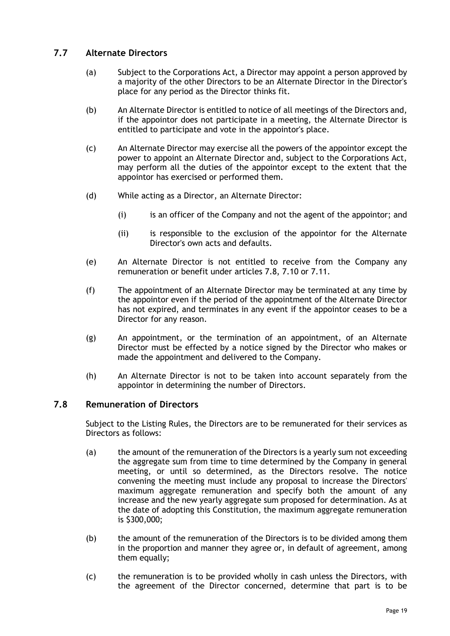# <span id="page-22-2"></span><span id="page-22-0"></span>**7.7 Alternate Directors**

- (a) Subject to the Corporations Act, a Director may appoint a person approved by a majority of the other Directors to be an Alternate Director in the Director's place for any period as the Director thinks fit.
- (b) An Alternate Director is entitled to notice of all meetings of the Directors and, if the appointor does not participate in a meeting, the Alternate Director is entitled to participate and vote in the appointor's place.
- (c) An Alternate Director may exercise all the powers of the appointor except the power to appoint an Alternate Director and, subject to the Corporations Act, may perform all the duties of the appointor except to the extent that the appointor has exercised or performed them.
- (d) While acting as a Director, an Alternate Director:
	- (i) is an officer of the Company and not the agent of the appointor; and
	- (ii) is responsible to the exclusion of the appointor for the Alternate Director's own acts and defaults.
- (e) An Alternate Director is not entitled to receive from the Company any remuneration or benefit under articles [7.8,](#page-22-1) [7.10](#page-23-1) or [7.11.](#page-23-2)
- (f) The appointment of an Alternate Director may be terminated at any time by the appointor even if the period of the appointment of the Alternate Director has not expired, and terminates in any event if the appointor ceases to be a Director for any reason.
- (g) An appointment, or the termination of an appointment, of an Alternate Director must be effected by a notice signed by the Director who makes or made the appointment and delivered to the Company.
- (h) An Alternate Director is not to be taken into account separately from the appointor in determining the number of Directors.

# <span id="page-22-1"></span>**7.8 Remuneration of Directors**

Subject to the Listing Rules, the Directors are to be remunerated for their services as Directors as follows:

- <span id="page-22-3"></span>(a) the amount of the remuneration of the Directors is a yearly sum not exceeding the aggregate sum from time to time determined by the Company in general meeting, or until so determined, as the Directors resolve. The notice convening the meeting must include any proposal to increase the Directors' maximum aggregate remuneration and specify both the amount of any increase and the new yearly aggregate sum proposed for determination. As at the date of adopting this Constitution, the maximum aggregate remuneration is \$300,000;
- (b) the amount of the remuneration of the Directors is to be divided among them in the proportion and manner they agree or, in default of agreement, among them equally;
- <span id="page-22-4"></span>(c) the remuneration is to be provided wholly in cash unless the Directors, with the agreement of the Director concerned, determine that part is to be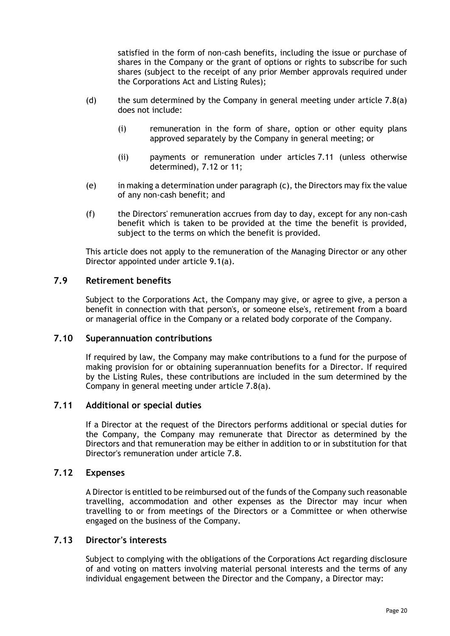satisfied in the form of non-cash benefits, including the issue or purchase of shares in the Company or the grant of options or rights to subscribe for such shares (subject to the receipt of any prior Member approvals required under the Corporations Act and Listing Rules);

- (d) the sum determined by the Company in general meeting under article  $7.8(a)$ does not include:
	- (i) remuneration in the form of share, option or other equity plans approved separately by the Company in general meeting; or
	- (ii) payments or remuneration under articles [7.11](#page-23-2) (unless otherwise determined), [7.12](#page-23-3) or [11;](#page-30-0)
- (e) in making a determination under paragrap[h \(c\),](#page-22-4) the Directors may fix the value of any non-cash benefit; and
- (f) the Directors' remuneration accrues from day to day, except for any non-cash benefit which is taken to be provided at the time the benefit is provided, subject to the terms on which the benefit is provided.

This article does not apply to the remuneration of the Managing Director or any other Director appointed under article [9.1\(a\).](#page-26-5)

# <span id="page-23-0"></span>**7.9 Retirement benefits**

Subject to the Corporations Act, the Company may give, or agree to give, a person a benefit in connection with that person's, or someone else's, retirement from a board or managerial office in the Company or a related body corporate of the Company.

# <span id="page-23-1"></span>**7.10 Superannuation contributions**

If required by law, the Company may make contributions to a fund for the purpose of making provision for or obtaining superannuation benefits for a Director. If required by the Listing Rules, these contributions are included in the sum determined by the Company in general meeting under article [7.8\(a\).](#page-22-3)

#### <span id="page-23-2"></span>**7.11 Additional or special duties**

If a Director at the request of the Directors performs additional or special duties for the Company, the Company may remunerate that Director as determined by the Directors and that remuneration may be either in addition to or in substitution for that Director's remuneration under article [7.8.](#page-22-1)

#### <span id="page-23-3"></span>**7.12 Expenses**

A Director is entitled to be reimbursed out of the funds of the Company such reasonable travelling, accommodation and other expenses as the Director may incur when travelling to or from meetings of the Directors or a Committee or when otherwise engaged on the business of the Company.

### <span id="page-23-4"></span>**7.13 Director's interests**

Subject to complying with the obligations of the Corporations Act regarding disclosure of and voting on matters involving material personal interests and the terms of any individual engagement between the Director and the Company, a Director may: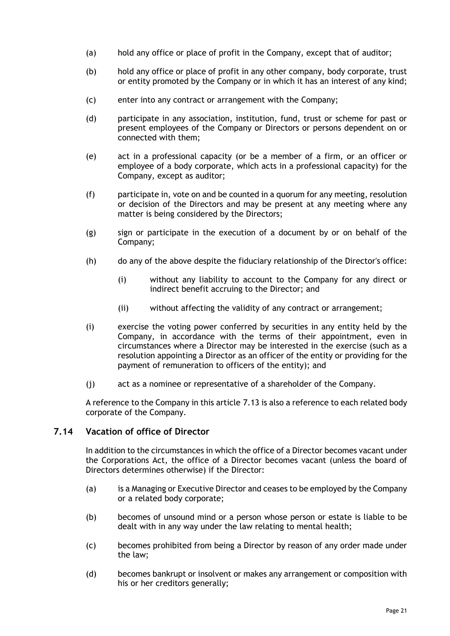- (a) hold any office or place of profit in the Company, except that of auditor;
- (b) hold any office or place of profit in any other company, body corporate, trust or entity promoted by the Company or in which it has an interest of any kind;
- (c) enter into any contract or arrangement with the Company;
- (d) participate in any association, institution, fund, trust or scheme for past or present employees of the Company or Directors or persons dependent on or connected with them;
- (e) act in a professional capacity (or be a member of a firm, or an officer or employee of a body corporate, which acts in a professional capacity) for the Company, except as auditor;
- (f) participate in, vote on and be counted in a quorum for any meeting, resolution or decision of the Directors and may be present at any meeting where any matter is being considered by the Directors;
- (g) sign or participate in the execution of a document by or on behalf of the Company;
- (h) do any of the above despite the fiduciary relationship of the Director's office:
	- (i) without any liability to account to the Company for any direct or indirect benefit accruing to the Director; and
	- (ii) without affecting the validity of any contract or arrangement;
- (i) exercise the voting power conferred by securities in any entity held by the Company, in accordance with the terms of their appointment, even in circumstances where a Director may be interested in the exercise (such as a resolution appointing a Director as an officer of the entity or providing for the payment of remuneration to officers of the entity); and
- (j) act as a nominee or representative of a shareholder of the Company.

A reference to the Company in this article [7.13](#page-23-4) is also a reference to each related body corporate of the Company.

#### <span id="page-24-0"></span>**7.14 Vacation of office of Director**

In addition to the circumstances in which the office of a Director becomes vacant under the Corporations Act, the office of a Director becomes vacant (unless the board of Directors determines otherwise) if the Director:

- (a) is a Managing or Executive Director and ceases to be employed by the Company or a related body corporate;
- (b) becomes of unsound mind or a person whose person or estate is liable to be dealt with in any way under the law relating to mental health;
- (c) becomes prohibited from being a Director by reason of any order made under the law;
- (d) becomes bankrupt or insolvent or makes any arrangement or composition with his or her creditors generally;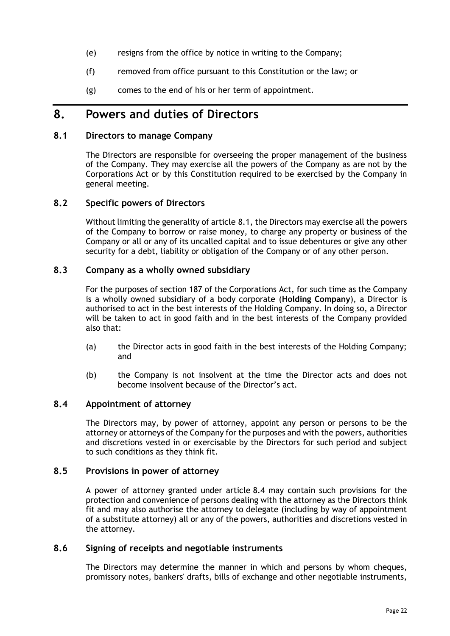- (e) resigns from the office by notice in writing to the Company;
- (f) removed from office pursuant to this Constitution or the law; or
- (g) comes to the end of his or her term of appointment.

# <span id="page-25-0"></span>**8. Powers and duties of Directors**

# <span id="page-25-1"></span>**8.1 Directors to manage Company**

The Directors are responsible for overseeing the proper management of the business of the Company. They may exercise all the powers of the Company as are not by the Corporations Act or by this Constitution required to be exercised by the Company in general meeting.

# <span id="page-25-2"></span>**8.2 Specific powers of Directors**

Without limiting the generality of article [8.1,](#page-25-1) the Directors may exercise all the powers of the Company to borrow or raise money, to charge any property or business of the Company or all or any of its uncalled capital and to issue debentures or give any other security for a debt, liability or obligation of the Company or of any other person.

# <span id="page-25-3"></span>**8.3 Company as a wholly owned subsidiary**

For the purposes of section 187 of the Corporations Act, for such time as the Company is a wholly owned subsidiary of a body corporate (**Holding Company**), a Director is authorised to act in the best interests of the Holding Company. In doing so, a Director will be taken to act in good faith and in the best interests of the Company provided also that:

- (a) the Director acts in good faith in the best interests of the Holding Company; and
- (b) the Company is not insolvent at the time the Director acts and does not become insolvent because of the Director's act.

### <span id="page-25-4"></span>**8.4 Appointment of attorney**

The Directors may, by power of attorney, appoint any person or persons to be the attorney or attorneys of the Company for the purposes and with the powers, authorities and discretions vested in or exercisable by the Directors for such period and subject to such conditions as they think fit.

#### <span id="page-25-5"></span>**8.5 Provisions in power of attorney**

A power of attorney granted under article [8.4](#page-25-4) may contain such provisions for the protection and convenience of persons dealing with the attorney as the Directors think fit and may also authorise the attorney to delegate (including by way of appointment of a substitute attorney) all or any of the powers, authorities and discretions vested in the attorney.

#### <span id="page-25-6"></span>**8.6 Signing of receipts and negotiable instruments**

The Directors may determine the manner in which and persons by whom cheques, promissory notes, bankers' drafts, bills of exchange and other negotiable instruments,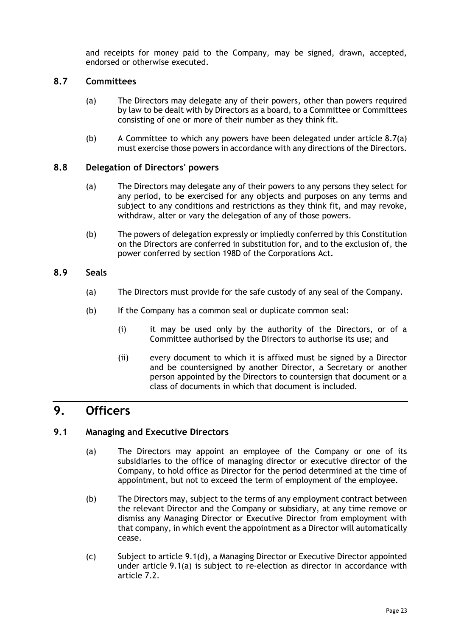and receipts for money paid to the Company, may be signed, drawn, accepted, endorsed or otherwise executed.

# <span id="page-26-6"></span><span id="page-26-0"></span>**8.7 Committees**

- (a) The Directors may delegate any of their powers, other than powers required by law to be dealt with by Directors as a board, to a Committee or Committees consisting of one or more of their number as they think fit.
- (b) A Committee to which any powers have been delegated under article [8.7\(a\)](#page-26-6) must exercise those powers in accordance with any directions of the Directors.

# <span id="page-26-1"></span>**8.8 Delegation of Directors' powers**

- (a) The Directors may delegate any of their powers to any persons they select for any period, to be exercised for any objects and purposes on any terms and subject to any conditions and restrictions as they think fit, and may revoke, withdraw, alter or vary the delegation of any of those powers.
- (b) The powers of delegation expressly or impliedly conferred by this Constitution on the Directors are conferred in substitution for, and to the exclusion of, the power conferred by section 198D of the Corporations Act.

# <span id="page-26-2"></span>**8.9 Seals**

- (a) The Directors must provide for the safe custody of any seal of the Company.
- (b) If the Company has a common seal or duplicate common seal:
	- (i) it may be used only by the authority of the Directors, or of a Committee authorised by the Directors to authorise its use; and
	- (ii) every document to which it is affixed must be signed by a Director and be countersigned by another Director, a Secretary or another person appointed by the Directors to countersign that document or a class of documents in which that document is included.

# <span id="page-26-3"></span>**9. Officers**

# <span id="page-26-5"></span><span id="page-26-4"></span>**9.1 Managing and Executive Directors**

- (a) The Directors may appoint an employee of the Company or one of its subsidiaries to the office of managing director or executive director of the Company, to hold office as Director for the period determined at the time of appointment, but not to exceed the term of employment of the employee.
- (b) The Directors may, subject to the terms of any employment contract between the relevant Director and the Company or subsidiary, at any time remove or dismiss any Managing Director or Executive Director from employment with that company, in which event the appointment as a Director will automatically cease.
- (c) Subject to article [9.1\(d\),](#page-27-5) a Managing Director or Executive Director appointed under article [9.1\(a\)](#page-26-5) is subject to re-election as director in accordance with article [7.2.](#page-20-3)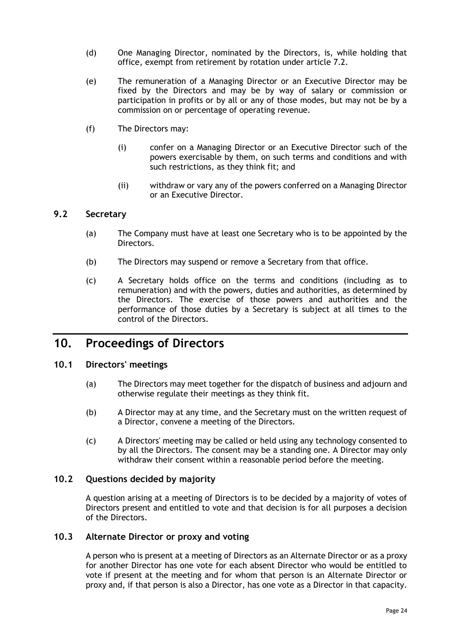- <span id="page-27-5"></span>(d) One Managing Director, nominated by the Directors, is, while holding that office, exempt from retirement by rotation under article [7.2.](#page-20-3)
- (e) The remuneration of a Managing Director or an Executive Director may be fixed by the Directors and may be by way of salary or commission or participation in profits or by all or any of those modes, but may not be by a commission on or percentage of operating revenue.
- (f) The Directors may:
	- (i) confer on a Managing Director or an Executive Director such of the powers exercisable by them, on such terms and conditions and with such restrictions, as they think fit; and
	- (ii) withdraw or vary any of the powers conferred on a Managing Director or an Executive Director.

# <span id="page-27-0"></span>**9.2 Secretary**

- (a) The Company must have at least one Secretary who is to be appointed by the Directors.
- (b) The Directors may suspend or remove a Secretary from that office.
- (c) A Secretary holds office on the terms and conditions (including as to remuneration) and with the powers, duties and authorities, as determined by the Directors. The exercise of those powers and authorities and the performance of those duties by a Secretary is subject at all times to the control of the Directors.

# <span id="page-27-1"></span>**10. Proceedings of Directors**

#### <span id="page-27-2"></span>**10.1 Directors' meetings**

- (a) The Directors may meet together for the dispatch of business and adjourn and otherwise regulate their meetings as they think fit.
- (b) A Director may at any time, and the Secretary must on the written request of a Director, convene a meeting of the Directors.
- (c) A Directors' meeting may be called or held using any technology consented to by all the Directors. The consent may be a standing one. A Director may only withdraw their consent within a reasonable period before the meeting.

#### <span id="page-27-3"></span>**10.2 Questions decided by majority**

A question arising at a meeting of Directors is to be decided by a majority of votes of Directors present and entitled to vote and that decision is for all purposes a decision of the Directors.

#### <span id="page-27-4"></span>**10.3 Alternate Director or proxy and voting**

A person who is present at a meeting of Directors as an Alternate Director or as a proxy for another Director has one vote for each absent Director who would be entitled to vote if present at the meeting and for whom that person is an Alternate Director or proxy and, if that person is also a Director, has one vote as a Director in that capacity.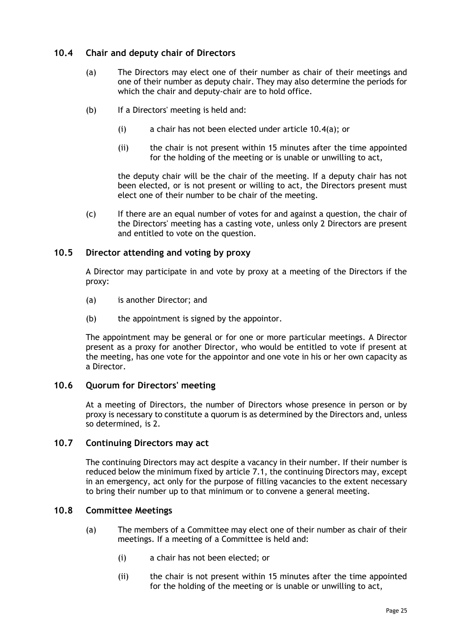# <span id="page-28-5"></span><span id="page-28-0"></span>**10.4 Chair and deputy chair of Directors**

- (a) The Directors may elect one of their number as chair of their meetings and one of their number as deputy chair. They may also determine the periods for which the chair and deputy-chair are to hold office.
- (b) If a Directors' meeting is held and:
	- (i) a chair has not been elected under article [10.4\(a\);](#page-28-5) or
	- (ii) the chair is not present within 15 minutes after the time appointed for the holding of the meeting or is unable or unwilling to act,

the deputy chair will be the chair of the meeting. If a deputy chair has not been elected, or is not present or willing to act, the Directors present must elect one of their number to be chair of the meeting.

(c) If there are an equal number of votes for and against a question, the chair of the Directors' meeting has a casting vote, unless only 2 Directors are present and entitled to vote on the question.

# <span id="page-28-1"></span>**10.5 Director attending and voting by proxy**

A Director may participate in and vote by proxy at a meeting of the Directors if the proxy:

- (a) is another Director; and
- (b) the appointment is signed by the appointor.

The appointment may be general or for one or more particular meetings. A Director present as a proxy for another Director, who would be entitled to vote if present at the meeting, has one vote for the appointor and one vote in his or her own capacity as a Director.

# <span id="page-28-2"></span>**10.6 Quorum for Directors' meeting**

At a meeting of Directors, the number of Directors whose presence in person or by proxy is necessary to constitute a quorum is as determined by the Directors and, unless so determined, is 2.

# <span id="page-28-3"></span>**10.7 Continuing Directors may act**

The continuing Directors may act despite a vacancy in their number. If their number is reduced below the minimum fixed by article [7.1,](#page-20-2) the continuing Directors may, except in an emergency, act only for the purpose of filling vacancies to the extent necessary to bring their number up to that minimum or to convene a general meeting.

#### <span id="page-28-4"></span>**10.8 Committee Meetings**

- (a) The members of a Committee may elect one of their number as chair of their meetings. If a meeting of a Committee is held and:
	- (i) a chair has not been elected; or
	- (ii) the chair is not present within 15 minutes after the time appointed for the holding of the meeting or is unable or unwilling to act,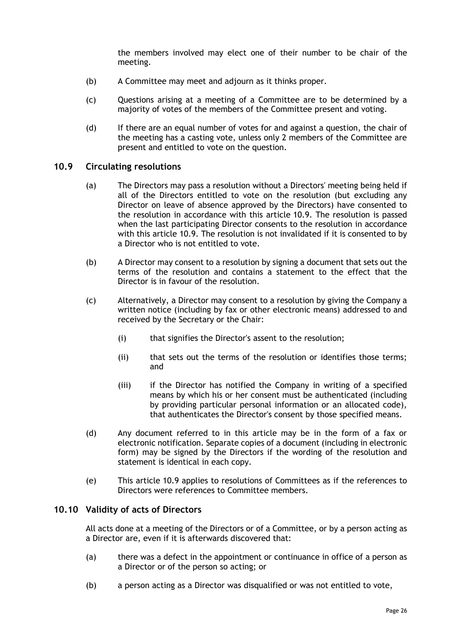the members involved may elect one of their number to be chair of the meeting.

- (b) A Committee may meet and adjourn as it thinks proper.
- (c) Questions arising at a meeting of a Committee are to be determined by a majority of votes of the members of the Committee present and voting.
- (d) If there are an equal number of votes for and against a question, the chair of the meeting has a casting vote, unless only 2 members of the Committee are present and entitled to vote on the question.

#### <span id="page-29-0"></span>**10.9 Circulating resolutions**

- (a) The Directors may pass a resolution without a Directors' meeting being held if all of the Directors entitled to vote on the resolution (but excluding any Director on leave of absence approved by the Directors) have consented to the resolution in accordance with this article [10.9.](#page-29-0) The resolution is passed when the last participating Director consents to the resolution in accordance with this article [10.9.](#page-29-0) The resolution is not invalidated if it is consented to by a Director who is not entitled to vote.
- (b) A Director may consent to a resolution by signing a document that sets out the terms of the resolution and contains a statement to the effect that the Director is in favour of the resolution.
- (c) Alternatively, a Director may consent to a resolution by giving the Company a written notice (including by fax or other electronic means) addressed to and received by the Secretary or the Chair:
	- (i) that signifies the Director's assent to the resolution;
	- (ii) that sets out the terms of the resolution or identifies those terms; and
	- (iii) if the Director has notified the Company in writing of a specified means by which his or her consent must be authenticated (including by providing particular personal information or an allocated code), that authenticates the Director's consent by those specified means.
- (d) Any document referred to in this article may be in the form of a fax or electronic notification. Separate copies of a document (including in electronic form) may be signed by the Directors if the wording of the resolution and statement is identical in each copy.
- (e) This article [10.9](#page-29-0) applies to resolutions of Committees as if the references to Directors were references to Committee members.

#### <span id="page-29-1"></span>**10.10 Validity of acts of Directors**

All acts done at a meeting of the Directors or of a Committee, or by a person acting as a Director are, even if it is afterwards discovered that:

- (a) there was a defect in the appointment or continuance in office of a person as a Director or of the person so acting; or
- (b) a person acting as a Director was disqualified or was not entitled to vote,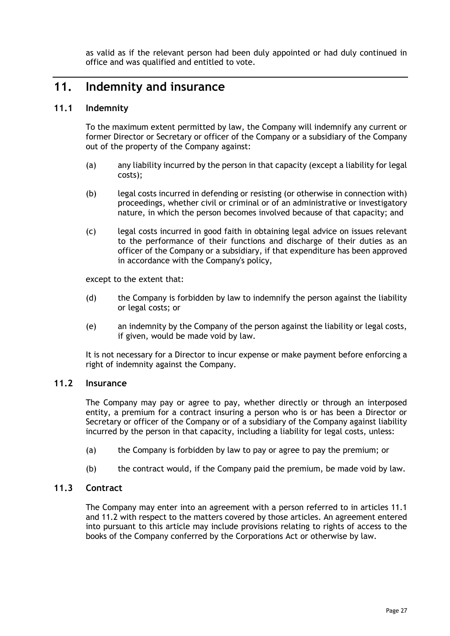as valid as if the relevant person had been duly appointed or had duly continued in office and was qualified and entitled to vote.

# <span id="page-30-0"></span>**11. Indemnity and insurance**

# <span id="page-30-1"></span>**11.1 Indemnity**

To the maximum extent permitted by law, the Company will indemnify any current or former Director or Secretary or officer of the Company or a subsidiary of the Company out of the property of the Company against:

- (a) any liability incurred by the person in that capacity (except a liability for legal costs);
- (b) legal costs incurred in defending or resisting (or otherwise in connection with) proceedings, whether civil or criminal or of an administrative or investigatory nature, in which the person becomes involved because of that capacity; and
- (c) legal costs incurred in good faith in obtaining legal advice on issues relevant to the performance of their functions and discharge of their duties as an officer of the Company or a subsidiary, if that expenditure has been approved in accordance with the Company's policy,

except to the extent that:

- (d) the Company is forbidden by law to indemnify the person against the liability or legal costs; or
- (e) an indemnity by the Company of the person against the liability or legal costs, if given, would be made void by law.

It is not necessary for a Director to incur expense or make payment before enforcing a right of indemnity against the Company.

#### <span id="page-30-2"></span>**11.2 Insurance**

The Company may pay or agree to pay, whether directly or through an interposed entity, a premium for a contract insuring a person who is or has been a Director or Secretary or officer of the Company or of a subsidiary of the Company against liability incurred by the person in that capacity, including a liability for legal costs, unless:

- (a) the Company is forbidden by law to pay or agree to pay the premium; or
- (b) the contract would, if the Company paid the premium, be made void by law.

# <span id="page-30-3"></span>**11.3 Contract**

The Company may enter into an agreement with a person referred to in articles [11.1](#page-30-1) and [11.2](#page-30-2) with respect to the matters covered by those articles. An agreement entered into pursuant to this article may include provisions relating to rights of access to the books of the Company conferred by the Corporations Act or otherwise by law.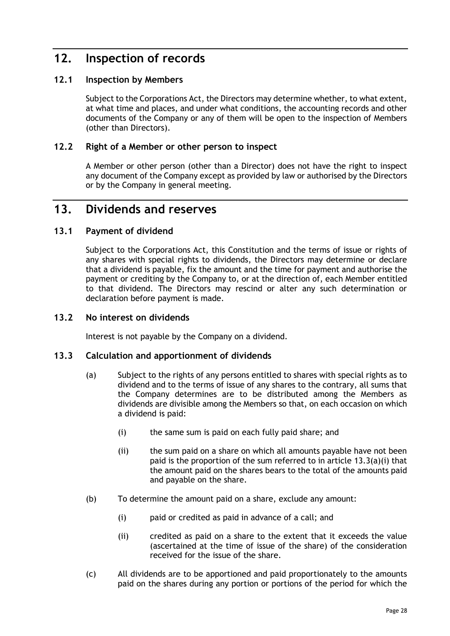# <span id="page-31-0"></span>**12. Inspection of records**

# <span id="page-31-1"></span>**12.1 Inspection by Members**

Subject to the Corporations Act, the Directors may determine whether, to what extent, at what time and places, and under what conditions, the accounting records and other documents of the Company or any of them will be open to the inspection of Members (other than Directors).

# <span id="page-31-2"></span>**12.2 Right of a Member or other person to inspect**

A Member or other person (other than a Director) does not have the right to inspect any document of the Company except as provided by law or authorised by the Directors or by the Company in general meeting.

# <span id="page-31-3"></span>**13. Dividends and reserves**

# <span id="page-31-4"></span>**13.1 Payment of dividend**

Subject to the Corporations Act, this Constitution and the terms of issue or rights of any shares with special rights to dividends, the Directors may determine or declare that a dividend is payable, fix the amount and the time for payment and authorise the payment or crediting by the Company to, or at the direction of, each Member entitled to that dividend. The Directors may rescind or alter any such determination or declaration before payment is made.

### <span id="page-31-5"></span>**13.2 No interest on dividends**

Interest is not payable by the Company on a dividend.

#### <span id="page-31-6"></span>**13.3 Calculation and apportionment of dividends**

- <span id="page-31-7"></span>(a) Subject to the rights of any persons entitled to shares with special rights as to dividend and to the terms of issue of any shares to the contrary, all sums that the Company determines are to be distributed among the Members as dividends are divisible among the Members so that, on each occasion on which a dividend is paid:
	- (i) the same sum is paid on each fully paid share; and
	- (ii) the sum paid on a share on which all amounts payable have not been paid is the proportion of the sum referred to in article [13.3\(a\)\(i\)](#page-31-7) that the amount paid on the shares bears to the total of the amounts paid and payable on the share.
- (b) To determine the amount paid on a share, exclude any amount:
	- (i) paid or credited as paid in advance of a call; and
	- (ii) credited as paid on a share to the extent that it exceeds the value (ascertained at the time of issue of the share) of the consideration received for the issue of the share.
- (c) All dividends are to be apportioned and paid proportionately to the amounts paid on the shares during any portion or portions of the period for which the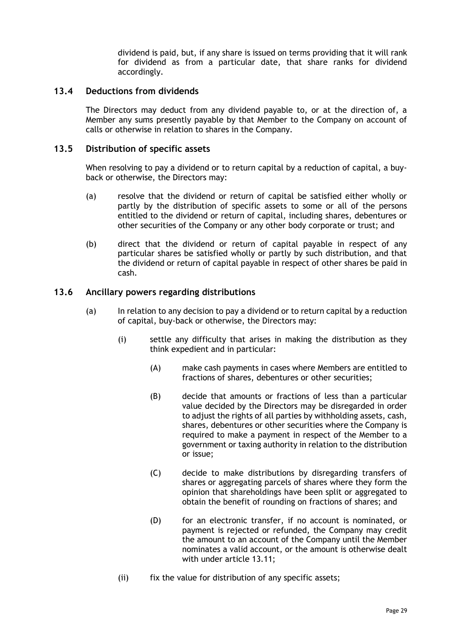dividend is paid, but, if any share is issued on terms providing that it will rank for dividend as from a particular date, that share ranks for dividend accordingly.

### <span id="page-32-0"></span>**13.4 Deductions from dividends**

The Directors may deduct from any dividend payable to, or at the direction of, a Member any sums presently payable by that Member to the Company on account of calls or otherwise in relation to shares in the Company.

### <span id="page-32-1"></span>**13.5 Distribution of specific assets**

When resolving to pay a dividend or to return capital by a reduction of capital, a buyback or otherwise, the Directors may:

- (a) resolve that the dividend or return of capital be satisfied either wholly or partly by the distribution of specific assets to some or all of the persons entitled to the dividend or return of capital, including shares, debentures or other securities of the Company or any other body corporate or trust; and
- (b) direct that the dividend or return of capital payable in respect of any particular shares be satisfied wholly or partly by such distribution, and that the dividend or return of capital payable in respect of other shares be paid in cash.

# <span id="page-32-2"></span>**13.6 Ancillary powers regarding distributions**

- (a) In relation to any decision to pay a dividend or to return capital by a reduction of capital, buy-back or otherwise, the Directors may:
	- (i) settle any difficulty that arises in making the distribution as they think expedient and in particular:
		- (A) make cash payments in cases where Members are entitled to fractions of shares, debentures or other securities;
		- (B) decide that amounts or fractions of less than a particular value decided by the Directors may be disregarded in order to adjust the rights of all parties by withholding assets, cash, shares, debentures or other securities where the Company is required to make a payment in respect of the Member to a government or taxing authority in relation to the distribution or issue;
		- (C) decide to make distributions by disregarding transfers of shares or aggregating parcels of shares where they form the opinion that shareholdings have been split or aggregated to obtain the benefit of rounding on fractions of shares; and
		- (D) for an electronic transfer, if no account is nominated, or payment is rejected or refunded, the Company may credit the amount to an account of the Company until the Member nominates a valid account, or the amount is otherwise dealt with under article [13.11;](#page-34-3)
	- (ii) fix the value for distribution of any specific assets;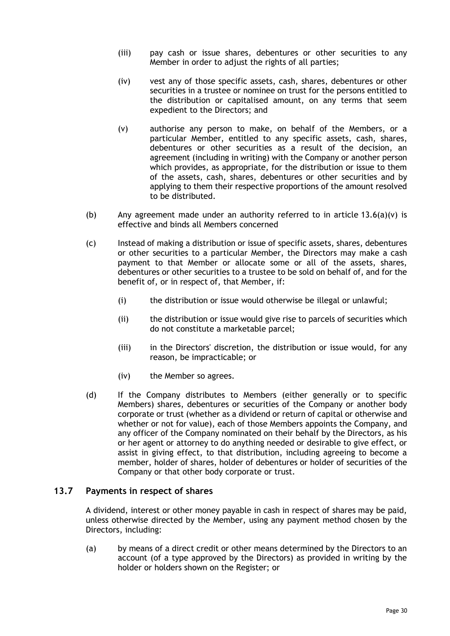- (iii) pay cash or issue shares, debentures or other securities to any Member in order to adjust the rights of all parties;
- (iv) vest any of those specific assets, cash, shares, debentures or other securities in a trustee or nominee on trust for the persons entitled to the distribution or capitalised amount, on any terms that seem expedient to the Directors; and
- <span id="page-33-1"></span>(v) authorise any person to make, on behalf of the Members, or a particular Member, entitled to any specific assets, cash, shares, debentures or other securities as a result of the decision, an agreement (including in writing) with the Company or another person which provides, as appropriate, for the distribution or issue to them of the assets, cash, shares, debentures or other securities and by applying to them their respective proportions of the amount resolved to be distributed.
- (b) Any agreement made under an authority referred to in article  $13.6(a)(v)$  is effective and binds all Members concerned
- (c) Instead of making a distribution or issue of specific assets, shares, debentures or other securities to a particular Member, the Directors may make a cash payment to that Member or allocate some or all of the assets, shares, debentures or other securities to a trustee to be sold on behalf of, and for the benefit of, or in respect of, that Member, if:
	- (i) the distribution or issue would otherwise be illegal or unlawful;
	- (ii) the distribution or issue would give rise to parcels of securities which do not constitute a marketable parcel;
	- (iii) in the Directors' discretion, the distribution or issue would, for any reason, be impracticable; or
	- (iv) the Member so agrees.
- (d) If the Company distributes to Members (either generally or to specific Members) shares, debentures or securities of the Company or another body corporate or trust (whether as a dividend or return of capital or otherwise and whether or not for value), each of those Members appoints the Company, and any officer of the Company nominated on their behalf by the Directors, as his or her agent or attorney to do anything needed or desirable to give effect, or assist in giving effect, to that distribution, including agreeing to become a member, holder of shares, holder of debentures or holder of securities of the Company or that other body corporate or trust.

#### <span id="page-33-0"></span>**13.7 Payments in respect of shares**

A dividend, interest or other money payable in cash in respect of shares may be paid, unless otherwise directed by the Member, using any payment method chosen by the Directors, including:

(a) by means of a direct credit or other means determined by the Directors to an account (of a type approved by the Directors) as provided in writing by the holder or holders shown on the Register; or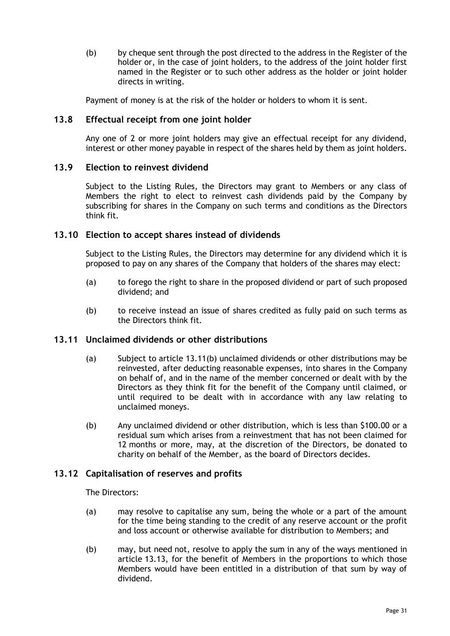(b) by cheque sent through the post directed to the address in the Register of the holder or, in the case of joint holders, to the address of the joint holder first named in the Register or to such other address as the holder or joint holder directs in writing.

Payment of money is at the risk of the holder or holders to whom it is sent.

# <span id="page-34-0"></span>**13.8 Effectual receipt from one joint holder**

Any one of 2 or more joint holders may give an effectual receipt for any dividend, interest or other money payable in respect of the shares held by them as joint holders.

### <span id="page-34-1"></span>**13.9 Election to reinvest dividend**

Subject to the Listing Rules, the Directors may grant to Members or any class of Members the right to elect to reinvest cash dividends paid by the Company by subscribing for shares in the Company on such terms and conditions as the Directors think fit.

#### <span id="page-34-2"></span>**13.10 Election to accept shares instead of dividends**

Subject to the Listing Rules, the Directors may determine for any dividend which it is proposed to pay on any shares of the Company that holders of the shares may elect:

- (a) to forego the right to share in the proposed dividend or part of such proposed dividend; and
- (b) to receive instead an issue of shares credited as fully paid on such terms as the Directors think fit.

#### <span id="page-34-3"></span>**13.11 Unclaimed dividends or other distributions**

- (a) Subject to article [13.11\(b\)](#page-34-5) unclaimed dividends or other distributions may be reinvested, after deducting reasonable expenses, into shares in the Company on behalf of, and in the name of the member concerned or dealt with by the Directors as they think fit for the benefit of the Company until claimed, or until required to be dealt with in accordance with any law relating to unclaimed moneys.
- <span id="page-34-5"></span>(b) Any unclaimed dividend or other distribution, which is less than \$100.00 or a residual sum which arises from a reinvestment that has not been claimed for 12 months or more, may, at the discretion of the Directors, be donated to charity on behalf of the Member, as the board of Directors decides.

# <span id="page-34-4"></span>**13.12 Capitalisation of reserves and profits**

The Directors:

- (a) may resolve to capitalise any sum, being the whole or a part of the amount for the time being standing to the credit of any reserve account or the profit and loss account or otherwise available for distribution to Members; and
- (b) may, but need not, resolve to apply the sum in any of the ways mentioned in article [13.13,](#page-35-0) for the benefit of Members in the proportions to which those Members would have been entitled in a distribution of that sum by way of dividend.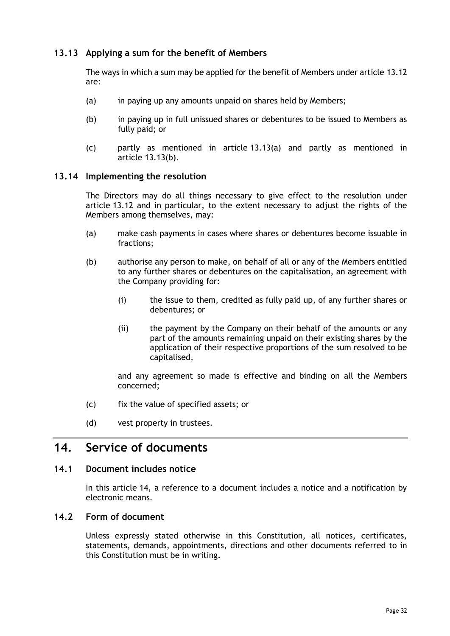# <span id="page-35-0"></span>**13.13 Applying a sum for the benefit of Members**

The ways in which a sum may be applied for the benefit of Members under article [13.12](#page-34-4) are:

- <span id="page-35-5"></span>(a) in paying up any amounts unpaid on shares held by Members;
- <span id="page-35-6"></span>(b) in paying up in full unissued shares or debentures to be issued to Members as fully paid; or
- (c) partly as mentioned in article [13.13\(a\)](#page-35-5) and partly as mentioned in article [13.13\(b\).](#page-35-6)

#### <span id="page-35-1"></span>**13.14 Implementing the resolution**

The Directors may do all things necessary to give effect to the resolution under article [13.12](#page-34-4) and in particular, to the extent necessary to adjust the rights of the Members among themselves, may:

- (a) make cash payments in cases where shares or debentures become issuable in fractions;
- (b) authorise any person to make, on behalf of all or any of the Members entitled to any further shares or debentures on the capitalisation, an agreement with the Company providing for:
	- (i) the issue to them, credited as fully paid up, of any further shares or debentures; or
	- (ii) the payment by the Company on their behalf of the amounts or any part of the amounts remaining unpaid on their existing shares by the application of their respective proportions of the sum resolved to be capitalised,

and any agreement so made is effective and binding on all the Members concerned;

- (c) fix the value of specified assets; or
- (d) vest property in trustees.

# <span id="page-35-2"></span>**14. Service of documents**

### <span id="page-35-3"></span>**14.1 Document includes notice**

In this article [14,](#page-35-2) a reference to a document includes a notice and a notification by electronic means.

# <span id="page-35-4"></span>**14.2 Form of document**

Unless expressly stated otherwise in this Constitution, all notices, certificates, statements, demands, appointments, directions and other documents referred to in this Constitution must be in writing.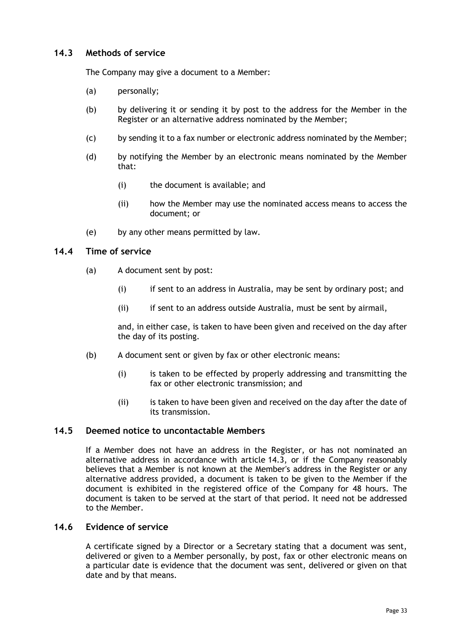# <span id="page-36-0"></span>**14.3 Methods of service**

The Company may give a document to a Member:

- (a) personally;
- (b) by delivering it or sending it by post to the address for the Member in the Register or an alternative address nominated by the Member;
- (c) by sending it to a fax number or electronic address nominated by the Member;
- (d) by notifying the Member by an electronic means nominated by the Member that:
	- (i) the document is available; and
	- (ii) how the Member may use the nominated access means to access the document; or
- (e) by any other means permitted by law.

#### <span id="page-36-1"></span>**14.4 Time of service**

- (a) A document sent by post:
	- (i) if sent to an address in Australia, may be sent by ordinary post; and
	- (ii) if sent to an address outside Australia, must be sent by airmail,

and, in either case, is taken to have been given and received on the day after the day of its posting.

- (b) A document sent or given by fax or other electronic means:
	- (i) is taken to be effected by properly addressing and transmitting the fax or other electronic transmission; and
	- (ii) is taken to have been given and received on the day after the date of its transmission.

#### <span id="page-36-2"></span>**14.5 Deemed notice to uncontactable Members**

If a Member does not have an address in the Register, or has not nominated an alternative address in accordance with article [14.3,](#page-36-0) or if the Company reasonably believes that a Member is not known at the Member's address in the Register or any alternative address provided, a document is taken to be given to the Member if the document is exhibited in the registered office of the Company for 48 hours. The document is taken to be served at the start of that period. It need not be addressed to the Member.

# <span id="page-36-3"></span>**14.6 Evidence of service**

A certificate signed by a Director or a Secretary stating that a document was sent, delivered or given to a Member personally, by post, fax or other electronic means on a particular date is evidence that the document was sent, delivered or given on that date and by that means.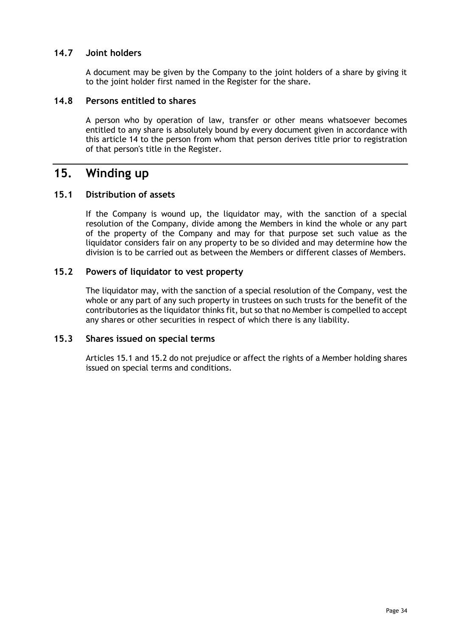# <span id="page-37-0"></span>**14.7 Joint holders**

A document may be given by the Company to the joint holders of a share by giving it to the joint holder first named in the Register for the share.

# <span id="page-37-1"></span>**14.8 Persons entitled to shares**

A person who by operation of law, transfer or other means whatsoever becomes entitled to any share is absolutely bound by every document given in accordance with this article [14](#page-35-2) to the person from whom that person derives title prior to registration of that person's title in the Register.

# <span id="page-37-2"></span>**15. Winding up**

# <span id="page-37-3"></span>**15.1 Distribution of assets**

If the Company is wound up, the liquidator may, with the sanction of a special resolution of the Company, divide among the Members in kind the whole or any part of the property of the Company and may for that purpose set such value as the liquidator considers fair on any property to be so divided and may determine how the division is to be carried out as between the Members or different classes of Members.

# <span id="page-37-4"></span>**15.2 Powers of liquidator to vest property**

The liquidator may, with the sanction of a special resolution of the Company, vest the whole or any part of any such property in trustees on such trusts for the benefit of the contributories as the liquidator thinks fit, but so that no Member is compelled to accept any shares or other securities in respect of which there is any liability.

#### <span id="page-37-5"></span>**15.3 Shares issued on special terms**

Articles [15.1](#page-37-3) and [15.2](#page-37-4) do not prejudice or affect the rights of a Member holding shares issued on special terms and conditions.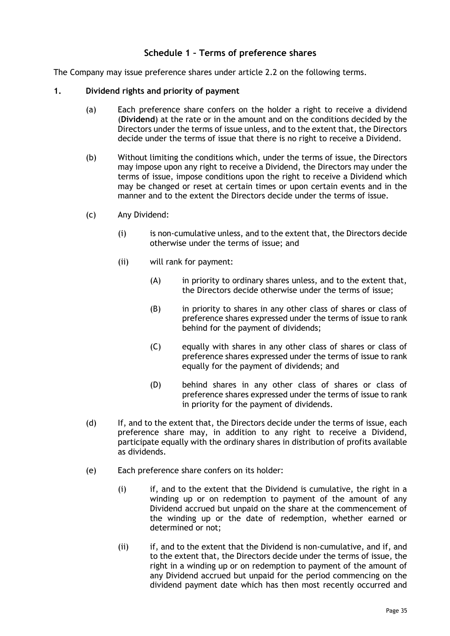# **Schedule 1 – Terms of preference shares**

<span id="page-38-0"></span>The Company may issue preference shares under article [2.2](#page-8-0) on the following terms.

#### **1. Dividend rights and priority of payment**

- (a) Each preference share confers on the holder a right to receive a dividend (**Dividend**) at the rate or in the amount and on the conditions decided by the Directors under the terms of issue unless, and to the extent that, the Directors decide under the terms of issue that there is no right to receive a Dividend.
- (b) Without limiting the conditions which, under the terms of issue, the Directors may impose upon any right to receive a Dividend, the Directors may under the terms of issue, impose conditions upon the right to receive a Dividend which may be changed or reset at certain times or upon certain events and in the manner and to the extent the Directors decide under the terms of issue.
- (c) Any Dividend:
	- (i) is non-cumulative unless, and to the extent that, the Directors decide otherwise under the terms of issue; and
	- (ii) will rank for payment:
		- (A) in priority to ordinary shares unless, and to the extent that, the Directors decide otherwise under the terms of issue;
		- (B) in priority to shares in any other class of shares or class of preference shares expressed under the terms of issue to rank behind for the payment of dividends;
		- (C) equally with shares in any other class of shares or class of preference shares expressed under the terms of issue to rank equally for the payment of dividends; and
		- (D) behind shares in any other class of shares or class of preference shares expressed under the terms of issue to rank in priority for the payment of dividends.
- (d) If, and to the extent that, the Directors decide under the terms of issue, each preference share may, in addition to any right to receive a Dividend, participate equally with the ordinary shares in distribution of profits available as dividends.
- (e) Each preference share confers on its holder:
	- (i) if, and to the extent that the Dividend is cumulative, the right in a winding up or on redemption to payment of the amount of any Dividend accrued but unpaid on the share at the commencement of the winding up or the date of redemption, whether earned or determined or not;
	- (ii) if, and to the extent that the Dividend is non-cumulative, and if, and to the extent that, the Directors decide under the terms of issue, the right in a winding up or on redemption to payment of the amount of any Dividend accrued but unpaid for the period commencing on the dividend payment date which has then most recently occurred and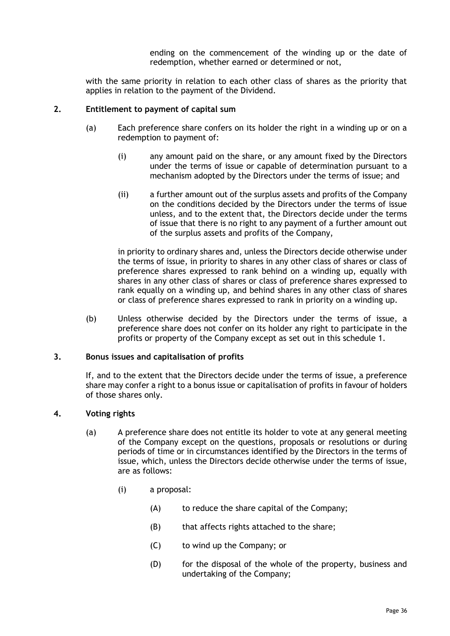ending on the commencement of the winding up or the date of redemption, whether earned or determined or not,

with the same priority in relation to each other class of shares as the priority that applies in relation to the payment of the Dividend.

#### **2. Entitlement to payment of capital sum**

- (a) Each preference share confers on its holder the right in a winding up or on a redemption to payment of:
	- (i) any amount paid on the share, or any amount fixed by the Directors under the terms of issue or capable of determination pursuant to a mechanism adopted by the Directors under the terms of issue; and
	- (ii) a further amount out of the surplus assets and profits of the Company on the conditions decided by the Directors under the terms of issue unless, and to the extent that, the Directors decide under the terms of issue that there is no right to any payment of a further amount out of the surplus assets and profits of the Company,

in priority to ordinary shares and, unless the Directors decide otherwise under the terms of issue, in priority to shares in any other class of shares or class of preference shares expressed to rank behind on a winding up, equally with shares in any other class of shares or class of preference shares expressed to rank equally on a winding up, and behind shares in any other class of shares or class of preference shares expressed to rank in priority on a winding up.

(b) Unless otherwise decided by the Directors under the terms of issue, a preference share does not confer on its holder any right to participate in the profits or property of the Company except as set out in this schedule 1.

#### **3. Bonus issues and capitalisation of profits**

If, and to the extent that the Directors decide under the terms of issue, a preference share may confer a right to a bonus issue or capitalisation of profits in favour of holders of those shares only.

#### **4. Voting rights**

- (a) A preference share does not entitle its holder to vote at any general meeting of the Company except on the questions, proposals or resolutions or during periods of time or in circumstances identified by the Directors in the terms of issue, which, unless the Directors decide otherwise under the terms of issue, are as follows:
	- (i) a proposal:
		- (A) to reduce the share capital of the Company;
		- (B) that affects rights attached to the share;
		- (C) to wind up the Company; or
		- (D) for the disposal of the whole of the property, business and undertaking of the Company;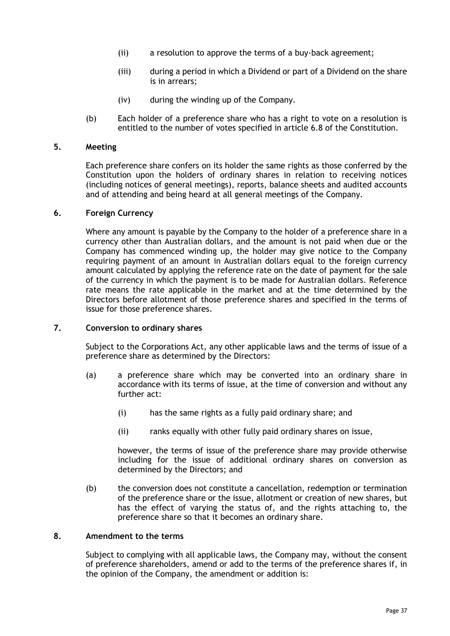- (ii) a resolution to approve the terms of a buy-back agreement;
- (iii) during a period in which a Dividend or part of a Dividend on the share is in arrears;
- (iv) during the winding up of the Company.
- (b) Each holder of a preference share who has a right to vote on a resolution is entitled to the number of votes specified in article [6.8](#page-17-2) of the Constitution.

### **5. Meeting**

Each preference share confers on its holder the same rights as those conferred by the Constitution upon the holders of ordinary shares in relation to receiving notices (including notices of general meetings), reports, balance sheets and audited accounts and of attending and being heard at all general meetings of the Company.

#### **6. Foreign Currency**

Where any amount is payable by the Company to the holder of a preference share in a currency other than Australian dollars, and the amount is not paid when due or the Company has commenced winding up, the holder may give notice to the Company requiring payment of an amount in Australian dollars equal to the foreign currency amount calculated by applying the reference rate on the date of payment for the sale of the currency in which the payment is to be made for Australian dollars. Reference rate means the rate applicable in the market and at the time determined by the Directors before allotment of those preference shares and specified in the terms of issue for those preference shares.

#### **7. Conversion to ordinary shares**

Subject to the Corporations Act, any other applicable laws and the terms of issue of a preference share as determined by the Directors:

- (a) a preference share which may be converted into an ordinary share in accordance with its terms of issue, at the time of conversion and without any further act:
	- (i) has the same rights as a fully paid ordinary share; and
	- (ii) ranks equally with other fully paid ordinary shares on issue,

however, the terms of issue of the preference share may provide otherwise including for the issue of additional ordinary shares on conversion as determined by the Directors; and

(b) the conversion does not constitute a cancellation, redemption or termination of the preference share or the issue, allotment or creation of new shares, but has the effect of varying the status of, and the rights attaching to, the preference share so that it becomes an ordinary share.

#### <span id="page-40-0"></span>**8. Amendment to the terms**

Subject to complying with all applicable laws, the Company may, without the consent of preference shareholders, amend or add to the terms of the preference shares if, in the opinion of the Company, the amendment or addition is: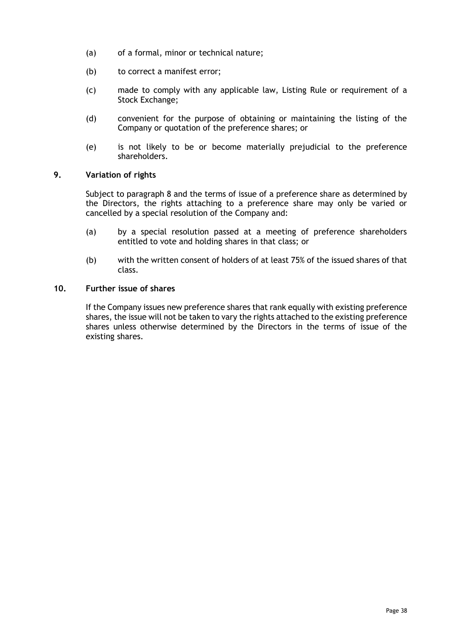- (a) of a formal, minor or technical nature;
- (b) to correct a manifest error;
- (c) made to comply with any applicable law, Listing Rule or requirement of a Stock Exchange;
- (d) convenient for the purpose of obtaining or maintaining the listing of the Company or quotation of the preference shares; or
- (e) is not likely to be or become materially prejudicial to the preference shareholders.

#### **9. Variation of rights**

Subject to paragraph [8](#page-40-0) and the terms of issue of a preference share as determined by the Directors, the rights attaching to a preference share may only be varied or cancelled by a special resolution of the Company and:

- (a) by a special resolution passed at a meeting of preference shareholders entitled to vote and holding shares in that class; or
- (b) with the written consent of holders of at least 75% of the issued shares of that class.

#### **10. Further issue of shares**

If the Company issues new preference shares that rank equally with existing preference shares, the issue will not be taken to vary the rights attached to the existing preference shares unless otherwise determined by the Directors in the terms of issue of the existing shares.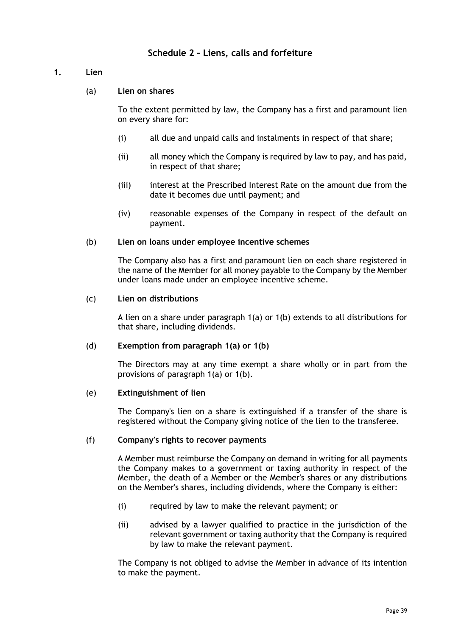# **Schedule 2 – Liens, calls and forfeiture**

#### <span id="page-42-1"></span><span id="page-42-0"></span>**1. Lien**

(a) **Lien on shares**

To the extent permitted by law, the Company has a first and paramount lien on every share for:

- (i) all due and unpaid calls and instalments in respect of that share;
- (ii) all money which the Company is required by law to pay, and has paid, in respect of that share;
- (iii) interest at the Prescribed Interest Rate on the amount due from the date it becomes due until payment; and
- (iv) reasonable expenses of the Company in respect of the default on payment.

#### <span id="page-42-2"></span>(b) **Lien on loans under employee incentive schemes**

The Company also has a first and paramount lien on each share registered in the name of the Member for all money payable to the Company by the Member under loans made under an employee incentive scheme.

#### (c) **Lien on distributions**

A lien on a share under paragraph [1\(a\)](#page-42-1) or [1\(b\)](#page-42-2) extends to all distributions for that share, including dividends.

#### (d) **Exemption from paragraph [1\(a\)](#page-42-1) or [1\(b\)](#page-42-2)**

The Directors may at any time exempt a share wholly or in part from the provisions of paragraph [1\(a\)](#page-42-1) or [1\(b\).](#page-42-2)

#### (e) **Extinguishment of lien**

The Company's lien on a share is extinguished if a transfer of the share is registered without the Company giving notice of the lien to the transferee.

#### (f) **Company's rights to recover payments**

A Member must reimburse the Company on demand in writing for all payments the Company makes to a government or taxing authority in respect of the Member, the death of a Member or the Member's shares or any distributions on the Member's shares, including dividends, where the Company is either:

- (i) required by law to make the relevant payment; or
- (ii) advised by a lawyer qualified to practice in the jurisdiction of the relevant government or taxing authority that the Company is required by law to make the relevant payment.

The Company is not obliged to advise the Member in advance of its intention to make the payment.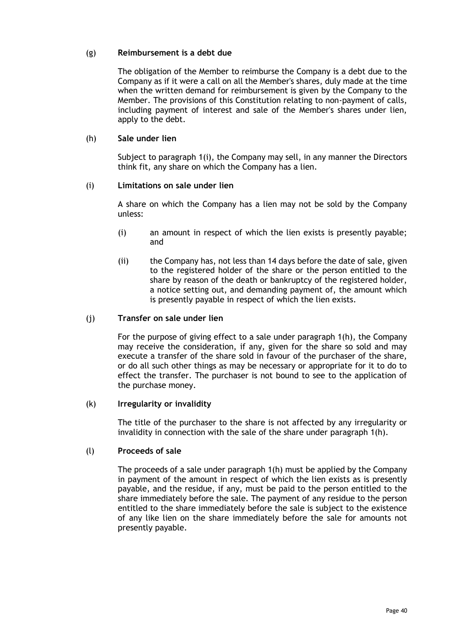#### (g) **Reimbursement is a debt due**

The obligation of the Member to reimburse the Company is a debt due to the Company as if it were a call on all the Member's shares, duly made at the time when the written demand for reimbursement is given by the Company to the Member. The provisions of this Constitution relating to non-payment of calls, including payment of interest and sale of the Member's shares under lien, apply to the debt.

#### <span id="page-43-1"></span>(h) **Sale under lien**

Subject to paragraph [1\(i\),](#page-43-0) the Company may sell, in any manner the Directors think fit, any share on which the Company has a lien.

#### <span id="page-43-0"></span>(i) **Limitations on sale under lien**

A share on which the Company has a lien may not be sold by the Company unless:

- (i) an amount in respect of which the lien exists is presently payable; and
- (ii) the Company has, not less than 14 days before the date of sale, given to the registered holder of the share or the person entitled to the share by reason of the death or bankruptcy of the registered holder, a notice setting out, and demanding payment of, the amount which is presently payable in respect of which the lien exists.

#### (j) **Transfer on sale under lien**

For the purpose of giving effect to a sale under paragraph [1\(h\),](#page-43-1) the Company may receive the consideration, if any, given for the share so sold and may execute a transfer of the share sold in favour of the purchaser of the share, or do all such other things as may be necessary or appropriate for it to do to effect the transfer. The purchaser is not bound to see to the application of the purchase money.

#### (k) **Irregularity or invalidity**

The title of the purchaser to the share is not affected by any irregularity or invalidity in connection with the sale of the share under paragraph [1\(h\).](#page-43-1)

#### (l) **Proceeds of sale**

The proceeds of a sale under paragraph [1\(h\)](#page-43-1) must be applied by the Company in payment of the amount in respect of which the lien exists as is presently payable, and the residue, if any, must be paid to the person entitled to the share immediately before the sale. The payment of any residue to the person entitled to the share immediately before the sale is subject to the existence of any like lien on the share immediately before the sale for amounts not presently payable.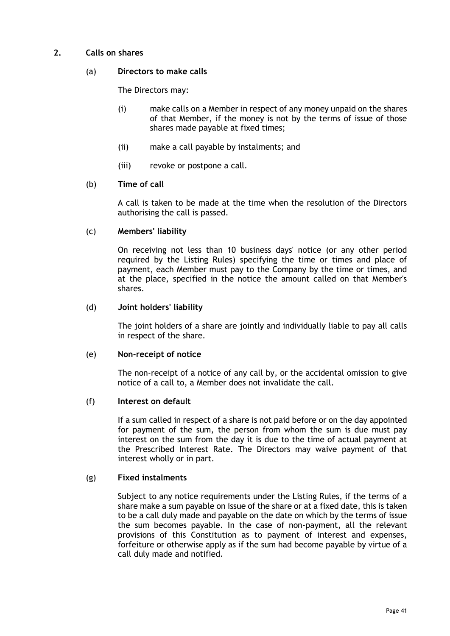# **2. Calls on shares**

#### (a) **Directors to make calls**

The Directors may:

- (i) make calls on a Member in respect of any money unpaid on the shares of that Member, if the money is not by the terms of issue of those shares made payable at fixed times;
- (ii) make a call payable by instalments; and
- (iii) revoke or postpone a call.

#### (b) **Time of call**

A call is taken to be made at the time when the resolution of the Directors authorising the call is passed.

#### (c) **Members' liability**

On receiving not less than 10 business days' notice (or any other period required by the Listing Rules) specifying the time or times and place of payment, each Member must pay to the Company by the time or times, and at the place, specified in the notice the amount called on that Member's shares.

#### (d) **Joint holders' liability**

The joint holders of a share are jointly and individually liable to pay all calls in respect of the share.

#### (e) **Non-receipt of notice**

The non-receipt of a notice of any call by, or the accidental omission to give notice of a call to, a Member does not invalidate the call.

#### (f) **Interest on default**

If a sum called in respect of a share is not paid before or on the day appointed for payment of the sum, the person from whom the sum is due must pay interest on the sum from the day it is due to the time of actual payment at the Prescribed Interest Rate. The Directors may waive payment of that interest wholly or in part.

#### (g) **Fixed instalments**

Subject to any notice requirements under the Listing Rules, if the terms of a share make a sum payable on issue of the share or at a fixed date, this is taken to be a call duly made and payable on the date on which by the terms of issue the sum becomes payable. In the case of non-payment, all the relevant provisions of this Constitution as to payment of interest and expenses, forfeiture or otherwise apply as if the sum had become payable by virtue of a call duly made and notified.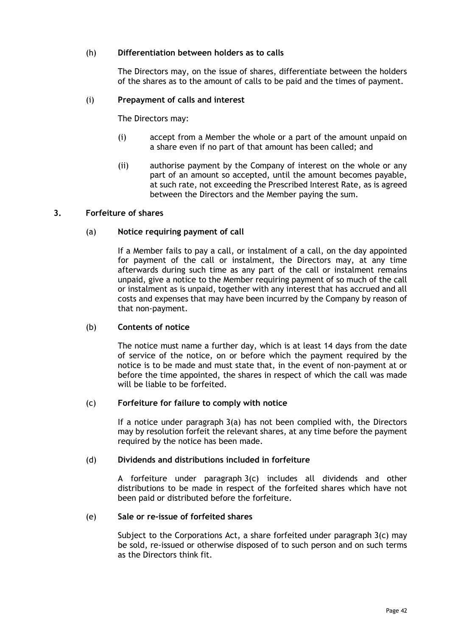#### (h) **Differentiation between holders as to calls**

The Directors may, on the issue of shares, differentiate between the holders of the shares as to the amount of calls to be paid and the times of payment.

#### (i) **Prepayment of calls and interest**

The Directors may:

- (i) accept from a Member the whole or a part of the amount unpaid on a share even if no part of that amount has been called; and
- (ii) authorise payment by the Company of interest on the whole or any part of an amount so accepted, until the amount becomes payable, at such rate, not exceeding the Prescribed Interest Rate, as is agreed between the Directors and the Member paying the sum.

#### <span id="page-45-0"></span>**3. Forfeiture of shares**

#### (a) **Notice requiring payment of call**

If a Member fails to pay a call, or instalment of a call, on the day appointed for payment of the call or instalment, the Directors may, at any time afterwards during such time as any part of the call or instalment remains unpaid, give a notice to the Member requiring payment of so much of the call or instalment as is unpaid, together with any interest that has accrued and all costs and expenses that may have been incurred by the Company by reason of that non-payment.

#### (b) **Contents of notice**

The notice must name a further day, which is at least 14 days from the date of service of the notice, on or before which the payment required by the notice is to be made and must state that, in the event of non-payment at or before the time appointed, the shares in respect of which the call was made will be liable to be forfeited.

#### <span id="page-45-1"></span>(c) **Forfeiture for failure to comply with notice**

If a notice under paragraph [3\(a\)](#page-45-0) has not been complied with, the Directors may by resolution forfeit the relevant shares, at any time before the payment required by the notice has been made.

#### (d) **Dividends and distributions included in forfeiture**

A forfeiture under paragraph [3\(c\)](#page-45-1) includes all dividends and other distributions to be made in respect of the forfeited shares which have not been paid or distributed before the forfeiture.

#### <span id="page-45-2"></span>(e) **Sale or re-issue of forfeited shares**

Subject to the Corporations Act, a share forfeited under paragraph  $3(c)$  may be sold, re-issued or otherwise disposed of to such person and on such terms as the Directors think fit.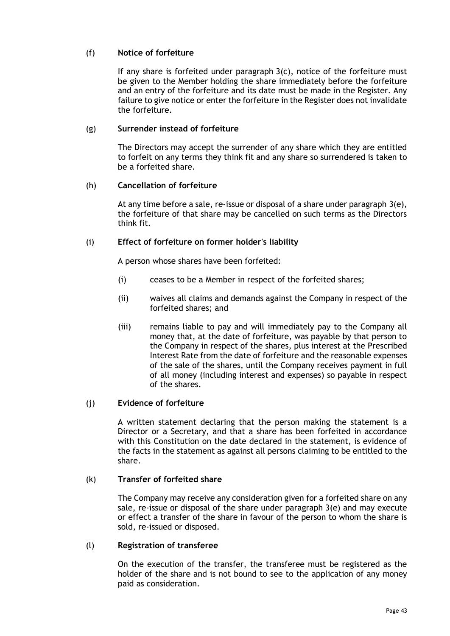# (f) **Notice of forfeiture**

If any share is forfeited under paragraph [3\(c\),](#page-45-1) notice of the forfeiture must be given to the Member holding the share immediately before the forfeiture and an entry of the forfeiture and its date must be made in the Register. Any failure to give notice or enter the forfeiture in the Register does not invalidate the forfeiture.

### (g) **Surrender instead of forfeiture**

The Directors may accept the surrender of any share which they are entitled to forfeit on any terms they think fit and any share so surrendered is taken to be a forfeited share.

#### (h) **Cancellation of forfeiture**

At any time before a sale, re-issue or disposal of a share under paragraph [3\(e\),](#page-45-2) the forfeiture of that share may be cancelled on such terms as the Directors think fit.

#### (i) **Effect of forfeiture on former holder's liability**

A person whose shares have been forfeited:

- (i) ceases to be a Member in respect of the forfeited shares;
- (ii) waives all claims and demands against the Company in respect of the forfeited shares; and
- (iii) remains liable to pay and will immediately pay to the Company all money that, at the date of forfeiture, was payable by that person to the Company in respect of the shares, plus interest at the Prescribed Interest Rate from the date of forfeiture and the reasonable expenses of the sale of the shares, until the Company receives payment in full of all money (including interest and expenses) so payable in respect of the shares.

#### (j) **Evidence of forfeiture**

A written statement declaring that the person making the statement is a Director or a Secretary, and that a share has been forfeited in accordance with this Constitution on the date declared in the statement, is evidence of the facts in the statement as against all persons claiming to be entitled to the share.

#### (k) **Transfer of forfeited share**

The Company may receive any consideration given for a forfeited share on any sale, re-issue or disposal of the share under paragraph [3\(e\)](#page-45-2) and may execute or effect a transfer of the share in favour of the person to whom the share is sold, re-issued or disposed.

#### (l) **Registration of transferee**

On the execution of the transfer, the transferee must be registered as the holder of the share and is not bound to see to the application of any money paid as consideration.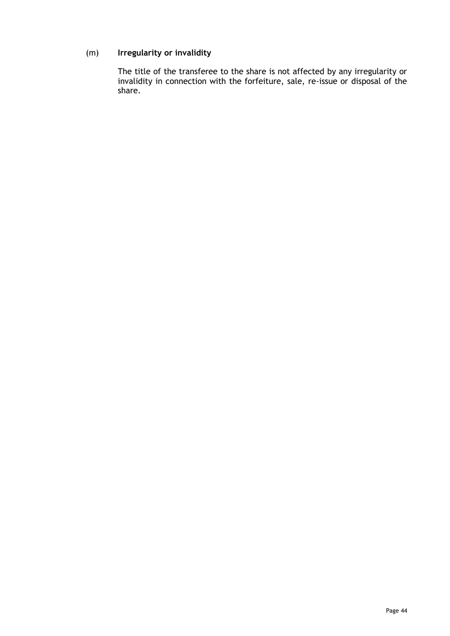# (m) **Irregularity or invalidity**

The title of the transferee to the share is not affected by any irregularity or invalidity in connection with the forfeiture, sale, re-issue or disposal of the share.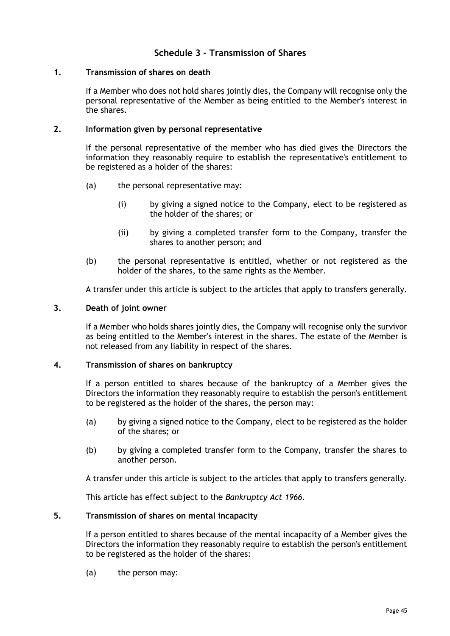# **Schedule 3 – Transmission of Shares**

#### <span id="page-48-1"></span><span id="page-48-0"></span>**1. Transmission of shares on death**

If a Member who does not hold shares jointly dies, the Company will recognise only the personal representative of the Member as being entitled to the Member's interest in the shares.

#### **2. Information given by personal representative**

If the personal representative of the member who has died gives the Directors the information they reasonably require to establish the representative's entitlement to be registered as a holder of the shares:

- (a) the personal representative may:
	- (i) by giving a signed notice to the Company, elect to be registered as the holder of the shares; or
	- (ii) by giving a completed transfer form to the Company, transfer the shares to another person; and
- (b) the personal representative is entitled, whether or not registered as the holder of the shares, to the same rights as the Member.

A transfer under this article is subject to the articles that apply to transfers generally.

#### **3. Death of joint owner**

If a Member who holds shares jointly dies, the Company will recognise only the survivor as being entitled to the Member's interest in the shares. The estate of the Member is not released from any liability in respect of the shares.

#### <span id="page-48-2"></span>**4. Transmission of shares on bankruptcy**

If a person entitled to shares because of the bankruptcy of a Member gives the Directors the information they reasonably require to establish the person's entitlement to be registered as the holder of the shares, the person may:

- (a) by giving a signed notice to the Company, elect to be registered as the holder of the shares; or
- (b) by giving a completed transfer form to the Company, transfer the shares to another person.

A transfer under this article is subject to the articles that apply to transfers generally.

This article has effect subject to the *Bankruptcy Act 1966.*

#### <span id="page-48-3"></span>**5. Transmission of shares on mental incapacity**

If a person entitled to shares because of the mental incapacity of a Member gives the Directors the information they reasonably require to establish the person's entitlement to be registered as the holder of the shares:

(a) the person may: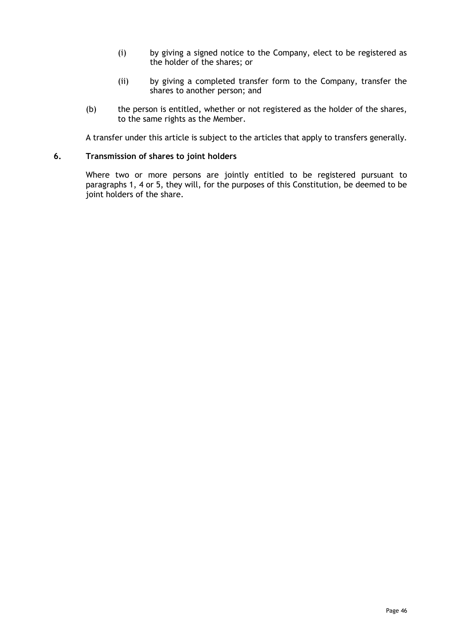- (i) by giving a signed notice to the Company, elect to be registered as the holder of the shares; or
- (ii) by giving a completed transfer form to the Company, transfer the shares to another person; and
- (b) the person is entitled, whether or not registered as the holder of the shares, to the same rights as the Member.

A transfer under this article is subject to the articles that apply to transfers generally.

#### **6. Transmission of shares to joint holders**

Where two or more persons are jointly entitled to be registered pursuant to paragraphs [1,](#page-48-1) [4](#page-48-2) or [5,](#page-48-3) they will, for the purposes of this Constitution, be deemed to be joint holders of the share.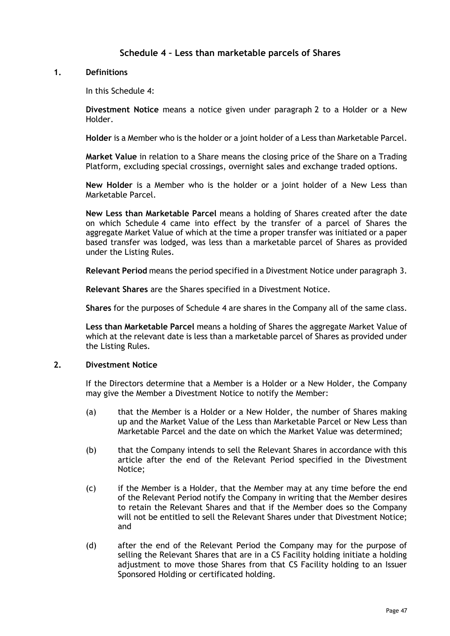# **Schedule 4 – Less than marketable parcels of Shares**

#### <span id="page-50-0"></span>**1. Definitions**

In this [Schedule](#page-50-0) 4:

**Divestment Notice** means a notice given under paragraph [2](#page-50-1) to a Holder or a New Holder.

**Holder** is a Member who is the holder or a joint holder of a Less than Marketable Parcel.

**Market Value** in relation to a Share means the closing price of the Share on a Trading Platform, excluding special crossings, overnight sales and exchange traded options.

**New Holder** is a Member who is the holder or a joint holder of a New Less than Marketable Parcel.

**New Less than Marketable Parcel** means a holding of Shares created after the date on which [Schedule](#page-50-0) 4 came into effect by the transfer of a parcel of Shares the aggregate Market Value of which at the time a proper transfer was initiated or a paper based transfer was lodged, was less than a marketable parcel of Shares as provided under the Listing Rules.

**Relevant Period** means the period specified in a Divestment Notice under paragraph [3.](#page-51-0)

**Relevant Shares** are the Shares specified in a Divestment Notice.

**Shares** for the purposes of [Schedule](#page-50-0) 4 are shares in the Company all of the same class.

**Less than Marketable Parcel** means a holding of Shares the aggregate Market Value of which at the relevant date is less than a marketable parcel of Shares as provided under the Listing Rules.

#### <span id="page-50-1"></span>**2. Divestment Notice**

If the Directors determine that a Member is a Holder or a New Holder, the Company may give the Member a Divestment Notice to notify the Member:

- (a) that the Member is a Holder or a New Holder, the number of Shares making up and the Market Value of the Less than Marketable Parcel or New Less than Marketable Parcel and the date on which the Market Value was determined;
- (b) that the Company intends to sell the Relevant Shares in accordance with this article after the end of the Relevant Period specified in the Divestment Notice;
- (c) if the Member is a Holder, that the Member may at any time before the end of the Relevant Period notify the Company in writing that the Member desires to retain the Relevant Shares and that if the Member does so the Company will not be entitled to sell the Relevant Shares under that Divestment Notice; and
- (d) after the end of the Relevant Period the Company may for the purpose of selling the Relevant Shares that are in a CS Facility holding initiate a holding adjustment to move those Shares from that CS Facility holding to an Issuer Sponsored Holding or certificated holding.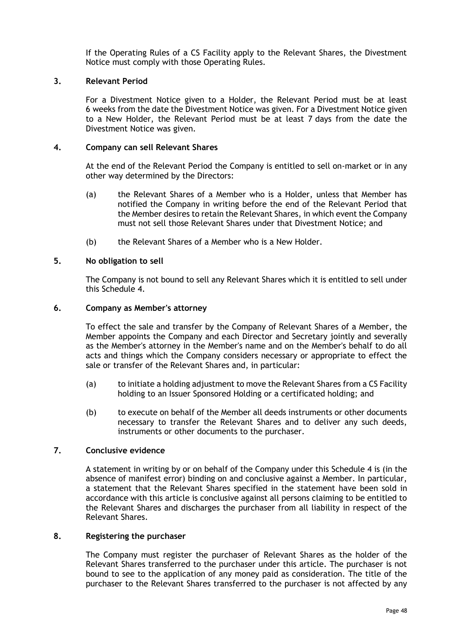If the Operating Rules of a CS Facility apply to the Relevant Shares, the Divestment Notice must comply with those Operating Rules.

#### <span id="page-51-0"></span>**3. Relevant Period**

For a Divestment Notice given to a Holder, the Relevant Period must be at least 6 weeks from the date the Divestment Notice was given. For a Divestment Notice given to a New Holder, the Relevant Period must be at least 7 days from the date the Divestment Notice was given.

#### **4. Company can sell Relevant Shares**

At the end of the Relevant Period the Company is entitled to sell on-market or in any other way determined by the Directors:

- (a) the Relevant Shares of a Member who is a Holder, unless that Member has notified the Company in writing before the end of the Relevant Period that the Member desires to retain the Relevant Shares, in which event the Company must not sell those Relevant Shares under that Divestment Notice; and
- (b) the Relevant Shares of a Member who is a New Holder.

#### **5. No obligation to sell**

The Company is not bound to sell any Relevant Shares which it is entitled to sell under this [Schedule](#page-50-0) 4.

#### **6. Company as Member's attorney**

To effect the sale and transfer by the Company of Relevant Shares of a Member, the Member appoints the Company and each Director and Secretary jointly and severally as the Member's attorney in the Member's name and on the Member's behalf to do all acts and things which the Company considers necessary or appropriate to effect the sale or transfer of the Relevant Shares and, in particular:

- (a) to initiate a holding adjustment to move the Relevant Shares from a CS Facility holding to an Issuer Sponsored Holding or a certificated holding; and
- (b) to execute on behalf of the Member all deeds instruments or other documents necessary to transfer the Relevant Shares and to deliver any such deeds, instruments or other documents to the purchaser.

#### **7. Conclusive evidence**

A statement in writing by or on behalf of the Company under this [Schedule](#page-50-0) 4 is (in the absence of manifest error) binding on and conclusive against a Member. In particular, a statement that the Relevant Shares specified in the statement have been sold in accordance with this article is conclusive against all persons claiming to be entitled to the Relevant Shares and discharges the purchaser from all liability in respect of the Relevant Shares.

#### **8. Registering the purchaser**

The Company must register the purchaser of Relevant Shares as the holder of the Relevant Shares transferred to the purchaser under this article. The purchaser is not bound to see to the application of any money paid as consideration. The title of the purchaser to the Relevant Shares transferred to the purchaser is not affected by any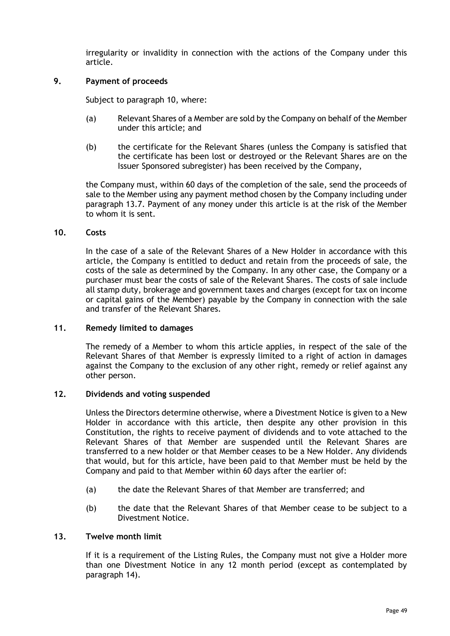irregularity or invalidity in connection with the actions of the Company under this article.

#### **9. Payment of proceeds**

Subject to paragraph [10,](#page-52-0) where:

- (a) Relevant Shares of a Member are sold by the Company on behalf of the Member under this article; and
- (b) the certificate for the Relevant Shares (unless the Company is satisfied that the certificate has been lost or destroyed or the Relevant Shares are on the Issuer Sponsored subregister) has been received by the Company,

the Company must, within 60 days of the completion of the sale, send the proceeds of sale to the Member using any payment method chosen by the Company including under paragraph [13.7.](#page-33-0) Payment of any money under this article is at the risk of the Member to whom it is sent.

#### <span id="page-52-0"></span>**10. Costs**

In the case of a sale of the Relevant Shares of a New Holder in accordance with this article, the Company is entitled to deduct and retain from the proceeds of sale, the costs of the sale as determined by the Company. In any other case, the Company or a purchaser must bear the costs of sale of the Relevant Shares. The costs of sale include all stamp duty, brokerage and government taxes and charges (except for tax on income or capital gains of the Member) payable by the Company in connection with the sale and transfer of the Relevant Shares.

#### **11. Remedy limited to damages**

The remedy of a Member to whom this article applies, in respect of the sale of the Relevant Shares of that Member is expressly limited to a right of action in damages against the Company to the exclusion of any other right, remedy or relief against any other person.

#### **12. Dividends and voting suspended**

Unless the Directors determine otherwise, where a Divestment Notice is given to a New Holder in accordance with this article, then despite any other provision in this Constitution, the rights to receive payment of dividends and to vote attached to the Relevant Shares of that Member are suspended until the Relevant Shares are transferred to a new holder or that Member ceases to be a New Holder. Any dividends that would, but for this article, have been paid to that Member must be held by the Company and paid to that Member within 60 days after the earlier of:

- (a) the date the Relevant Shares of that Member are transferred; and
- (b) the date that the Relevant Shares of that Member cease to be subject to a Divestment Notice.

#### <span id="page-52-1"></span>**13. Twelve month limit**

If it is a requirement of the Listing Rules, the Company must not give a Holder more than one Divestment Notice in any 12 month period (except as contemplated by paragraph [14\)](#page-53-0).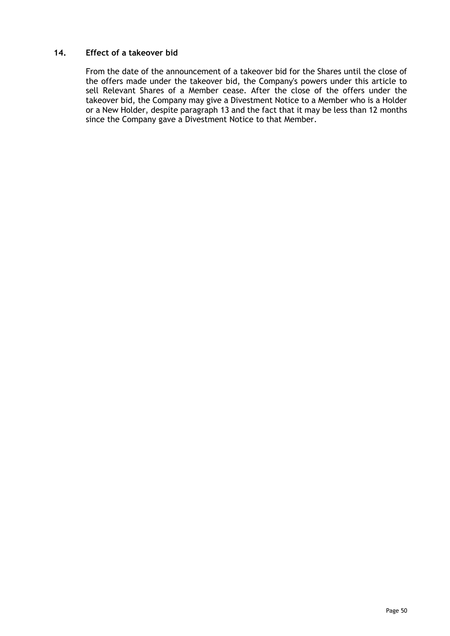### <span id="page-53-0"></span>**14. Effect of a takeover bid**

From the date of the announcement of a takeover bid for the Shares until the close of the offers made under the takeover bid, the Company's powers under this article to sell Relevant Shares of a Member cease. After the close of the offers under the takeover bid, the Company may give a Divestment Notice to a Member who is a Holder or a New Holder, despite paragraph [13](#page-52-1) and the fact that it may be less than 12 months since the Company gave a Divestment Notice to that Member.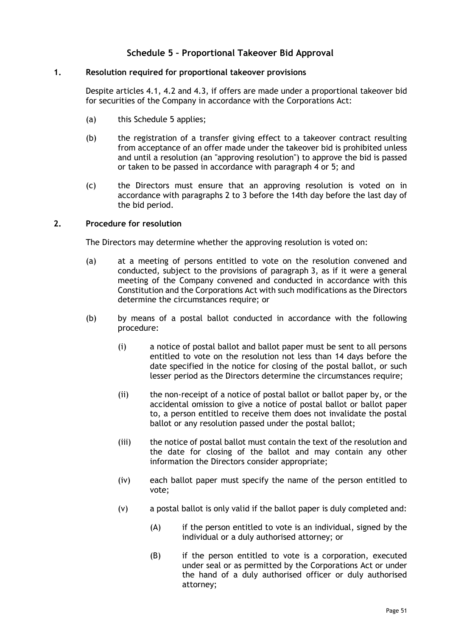# **Schedule 5 – Proportional Takeover Bid Approval**

#### <span id="page-54-2"></span><span id="page-54-0"></span>**1. Resolution required for proportional takeover provisions**

Despite articles [4.1,](#page-10-2) [4.2](#page-10-3) and [4.3,](#page-10-4) if offers are made under a proportional takeover bid for securities of the Company in accordance with the Corporations Act:

- (a) this [Schedule](#page-54-0) 5 applies;
- (b) the registration of a transfer giving effect to a takeover contract resulting from acceptance of an offer made under the takeover bid is prohibited unless and until a resolution (an "approving resolution") to approve the bid is passed or taken to be passed in accordance with paragraph [4](#page-55-0) or [5;](#page-55-1) and
- (c) the Directors must ensure that an approving resolution is voted on in accordance with paragraphs [2](#page-54-1) to [3](#page-55-2) before the 14th day before the last day of the bid period.

#### <span id="page-54-1"></span>**2. Procedure for resolution**

The Directors may determine whether the approving resolution is voted on:

- (a) at a meeting of persons entitled to vote on the resolution convened and conducted, subject to the provisions of paragraph [3,](#page-55-2) as if it were a general meeting of the Company convened and conducted in accordance with this Constitution and the Corporations Act with such modifications as the Directors determine the circumstances require; or
- (b) by means of a postal ballot conducted in accordance with the following procedure:
	- (i) a notice of postal ballot and ballot paper must be sent to all persons entitled to vote on the resolution not less than 14 days before the date specified in the notice for closing of the postal ballot, or such lesser period as the Directors determine the circumstances require;
	- (ii) the non-receipt of a notice of postal ballot or ballot paper by, or the accidental omission to give a notice of postal ballot or ballot paper to, a person entitled to receive them does not invalidate the postal ballot or any resolution passed under the postal ballot;
	- (iii) the notice of postal ballot must contain the text of the resolution and the date for closing of the ballot and may contain any other information the Directors consider appropriate;
	- (iv) each ballot paper must specify the name of the person entitled to vote;
	- (v) a postal ballot is only valid if the ballot paper is duly completed and:
		- (A) if the person entitled to vote is an individual, signed by the individual or a duly authorised attorney; or
		- (B) if the person entitled to vote is a corporation, executed under seal or as permitted by the Corporations Act or under the hand of a duly authorised officer or duly authorised attorney;